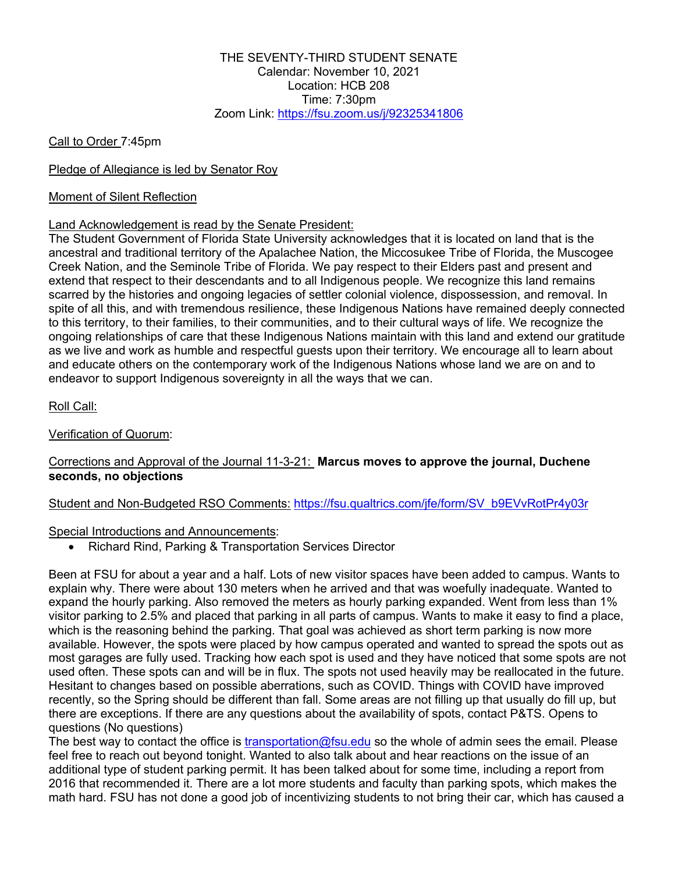Call to Order 7:45pm

## Pledge of Allegiance is led by Senator Roy

## Moment of Silent Reflection

## Land Acknowledgement is read by the Senate President:

The Student Government of Florida State University acknowledges that it is located on land that is the ancestral and traditional territory of the Apalachee Nation, the Miccosukee Tribe of Florida, the Muscogee Creek Nation, and the Seminole Tribe of Florida. We pay respect to their Elders past and present and extend that respect to their descendants and to all Indigenous people. We recognize this land remains scarred by the histories and ongoing legacies of settler colonial violence, dispossession, and removal. In spite of all this, and with tremendous resilience, these Indigenous Nations have remained deeply connected to this territory, to their families, to their communities, and to their cultural ways of life. We recognize the ongoing relationships of care that these Indigenous Nations maintain with this land and extend our gratitude as we live and work as humble and respectful guests upon their territory. We encourage all to learn about and educate others on the contemporary work of the Indigenous Nations whose land we are on and to endeavor to support Indigenous sovereignty in all the ways that we can.

Roll Call:

## Verification of Quorum:

## Corrections and Approval of the Journal 11-3-21: **Marcus moves to approve the journal, Duchene seconds, no objections**

## Student and Non-Budgeted RSO Comments: https://fsu.qualtrics.com/jfe/form/SV\_b9EVvRotPr4y03r

## Special Introductions and Announcements:

• Richard Rind, Parking & Transportation Services Director

Been at FSU for about a year and a half. Lots of new visitor spaces have been added to campus. Wants to explain why. There were about 130 meters when he arrived and that was woefully inadequate. Wanted to expand the hourly parking. Also removed the meters as hourly parking expanded. Went from less than 1% visitor parking to 2.5% and placed that parking in all parts of campus. Wants to make it easy to find a place, which is the reasoning behind the parking. That goal was achieved as short term parking is now more available. However, the spots were placed by how campus operated and wanted to spread the spots out as most garages are fully used. Tracking how each spot is used and they have noticed that some spots are not used often. These spots can and will be in flux. The spots not used heavily may be reallocated in the future. Hesitant to changes based on possible aberrations, such as COVID. Things with COVID have improved recently, so the Spring should be different than fall. Some areas are not filling up that usually do fill up, but there are exceptions. If there are any questions about the availability of spots, contact P&TS. Opens to questions (No questions)

The best way to contact the office is transportation@fsu.edu so the whole of admin sees the email. Please feel free to reach out beyond tonight. Wanted to also talk about and hear reactions on the issue of an additional type of student parking permit. It has been talked about for some time, including a report from 2016 that recommended it. There are a lot more students and faculty than parking spots, which makes the math hard. FSU has not done a good job of incentivizing students to not bring their car, which has caused a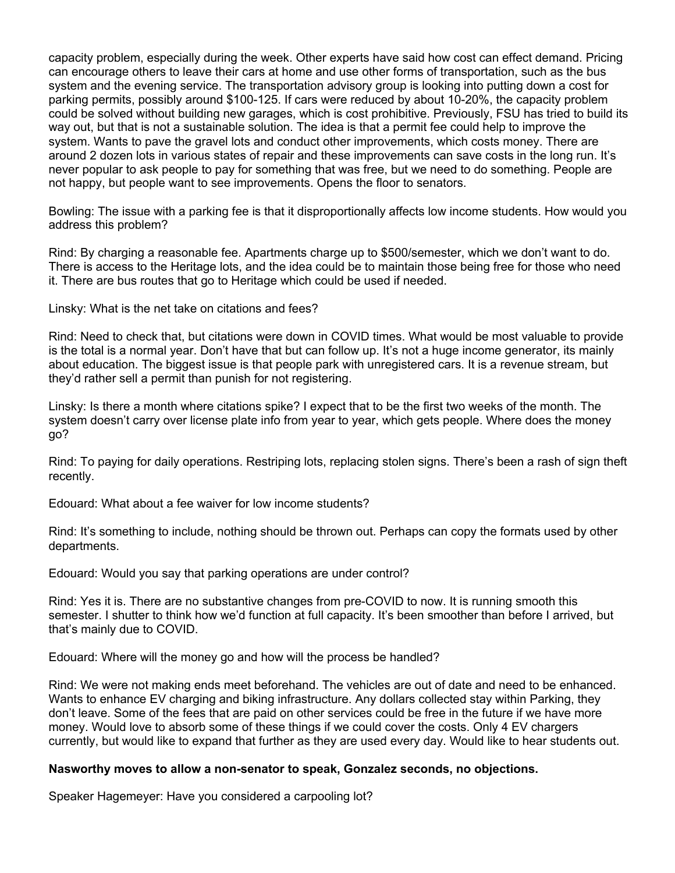capacity problem, especially during the week. Other experts have said how cost can effect demand. Pricing can encourage others to leave their cars at home and use other forms of transportation, such as the bus system and the evening service. The transportation advisory group is looking into putting down a cost for parking permits, possibly around \$100-125. If cars were reduced by about 10-20%, the capacity problem could be solved without building new garages, which is cost prohibitive. Previously, FSU has tried to build its way out, but that is not a sustainable solution. The idea is that a permit fee could help to improve the system. Wants to pave the gravel lots and conduct other improvements, which costs money. There are around 2 dozen lots in various states of repair and these improvements can save costs in the long run. It's never popular to ask people to pay for something that was free, but we need to do something. People are not happy, but people want to see improvements. Opens the floor to senators.

Bowling: The issue with a parking fee is that it disproportionally affects low income students. How would you address this problem?

Rind: By charging a reasonable fee. Apartments charge up to \$500/semester, which we don't want to do. There is access to the Heritage lots, and the idea could be to maintain those being free for those who need it. There are bus routes that go to Heritage which could be used if needed.

Linsky: What is the net take on citations and fees?

Rind: Need to check that, but citations were down in COVID times. What would be most valuable to provide is the total is a normal year. Don't have that but can follow up. It's not a huge income generator, its mainly about education. The biggest issue is that people park with unregistered cars. It is a revenue stream, but they'd rather sell a permit than punish for not registering.

Linsky: Is there a month where citations spike? I expect that to be the first two weeks of the month. The system doesn't carry over license plate info from year to year, which gets people. Where does the money go?

Rind: To paying for daily operations. Restriping lots, replacing stolen signs. There's been a rash of sign theft recently.

Edouard: What about a fee waiver for low income students?

Rind: It's something to include, nothing should be thrown out. Perhaps can copy the formats used by other departments.

Edouard: Would you say that parking operations are under control?

Rind: Yes it is. There are no substantive changes from pre-COVID to now. It is running smooth this semester. I shutter to think how we'd function at full capacity. It's been smoother than before I arrived, but that's mainly due to COVID.

Edouard: Where will the money go and how will the process be handled?

Rind: We were not making ends meet beforehand. The vehicles are out of date and need to be enhanced. Wants to enhance EV charging and biking infrastructure. Any dollars collected stay within Parking, they don't leave. Some of the fees that are paid on other services could be free in the future if we have more money. Would love to absorb some of these things if we could cover the costs. Only 4 EV chargers currently, but would like to expand that further as they are used every day. Would like to hear students out.

## **Nasworthy moves to allow a non-senator to speak, Gonzalez seconds, no objections.**

Speaker Hagemeyer: Have you considered a carpooling lot?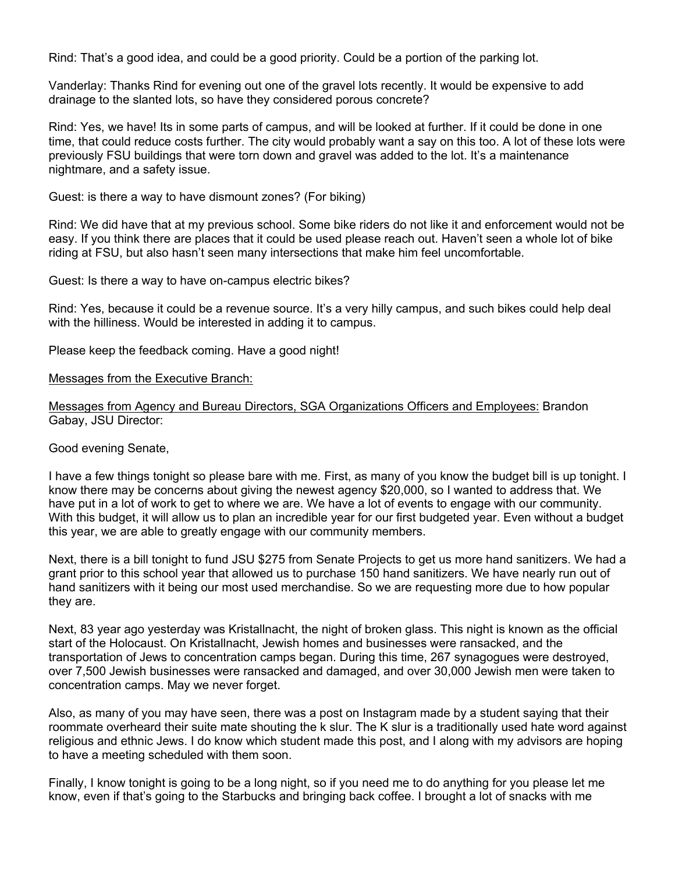Rind: That's a good idea, and could be a good priority. Could be a portion of the parking lot.

Vanderlay: Thanks Rind for evening out one of the gravel lots recently. It would be expensive to add drainage to the slanted lots, so have they considered porous concrete?

Rind: Yes, we have! Its in some parts of campus, and will be looked at further. If it could be done in one time, that could reduce costs further. The city would probably want a say on this too. A lot of these lots were previously FSU buildings that were torn down and gravel was added to the lot. It's a maintenance nightmare, and a safety issue.

Guest: is there a way to have dismount zones? (For biking)

Rind: We did have that at my previous school. Some bike riders do not like it and enforcement would not be easy. If you think there are places that it could be used please reach out. Haven't seen a whole lot of bike riding at FSU, but also hasn't seen many intersections that make him feel uncomfortable.

Guest: Is there a way to have on-campus electric bikes?

Rind: Yes, because it could be a revenue source. It's a very hilly campus, and such bikes could help deal with the hilliness. Would be interested in adding it to campus.

Please keep the feedback coming. Have a good night!

Messages from the Executive Branch:

Messages from Agency and Bureau Directors, SGA Organizations Officers and Employees: Brandon Gabay, JSU Director:

Good evening Senate,

I have a few things tonight so please bare with me. First, as many of you know the budget bill is up tonight. I know there may be concerns about giving the newest agency \$20,000, so I wanted to address that. We have put in a lot of work to get to where we are. We have a lot of events to engage with our community. With this budget, it will allow us to plan an incredible year for our first budgeted year. Even without a budget this year, we are able to greatly engage with our community members.

Next, there is a bill tonight to fund JSU \$275 from Senate Projects to get us more hand sanitizers. We had a grant prior to this school year that allowed us to purchase 150 hand sanitizers. We have nearly run out of hand sanitizers with it being our most used merchandise. So we are requesting more due to how popular they are.

Next, 83 year ago yesterday was Kristallnacht, the night of broken glass. This night is known as the official start of the Holocaust. On Kristallnacht, Jewish homes and businesses were ransacked, and the transportation of Jews to concentration camps began. During this time, 267 synagogues were destroyed, over 7,500 Jewish businesses were ransacked and damaged, and over 30,000 Jewish men were taken to concentration camps. May we never forget.

Also, as many of you may have seen, there was a post on Instagram made by a student saying that their roommate overheard their suite mate shouting the k slur. The K slur is a traditionally used hate word against religious and ethnic Jews. I do know which student made this post, and I along with my advisors are hoping to have a meeting scheduled with them soon.

Finally, I know tonight is going to be a long night, so if you need me to do anything for you please let me know, even if that's going to the Starbucks and bringing back coffee. I brought a lot of snacks with me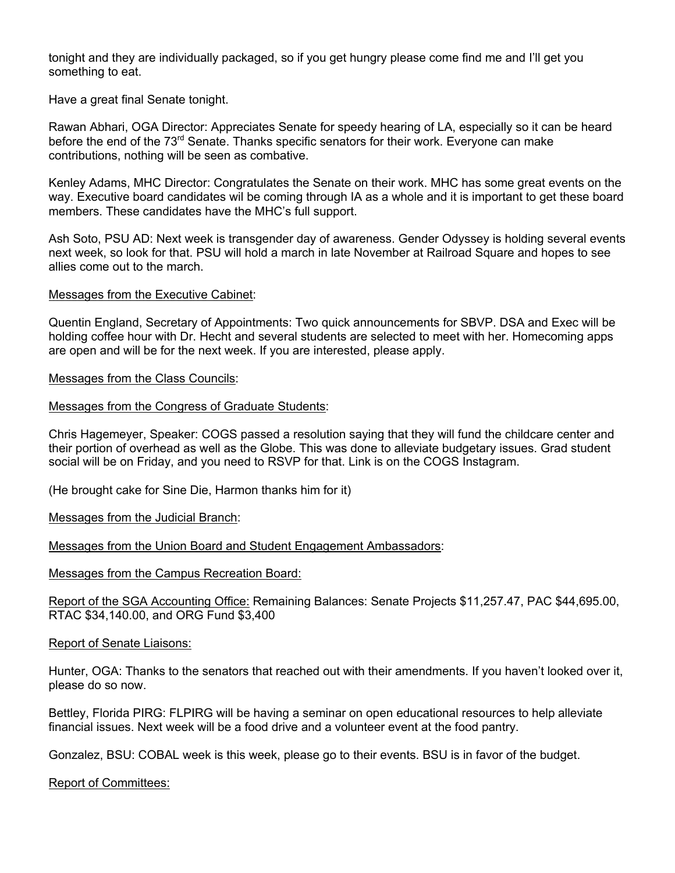tonight and they are individually packaged, so if you get hungry please come find me and I'll get you something to eat.

Have a great final Senate tonight.

Rawan Abhari, OGA Director: Appreciates Senate for speedy hearing of LA, especially so it can be heard before the end of the 73<sup>rd</sup> Senate. Thanks specific senators for their work. Everyone can make contributions, nothing will be seen as combative.

Kenley Adams, MHC Director: Congratulates the Senate on their work. MHC has some great events on the way. Executive board candidates wil be coming through IA as a whole and it is important to get these board members. These candidates have the MHC's full support.

Ash Soto, PSU AD: Next week is transgender day of awareness. Gender Odyssey is holding several events next week, so look for that. PSU will hold a march in late November at Railroad Square and hopes to see allies come out to the march.

### Messages from the Executive Cabinet:

Quentin England, Secretary of Appointments: Two quick announcements for SBVP. DSA and Exec will be holding coffee hour with Dr. Hecht and several students are selected to meet with her. Homecoming apps are open and will be for the next week. If you are interested, please apply.

## Messages from the Class Councils:

### Messages from the Congress of Graduate Students:

Chris Hagemeyer, Speaker: COGS passed a resolution saying that they will fund the childcare center and their portion of overhead as well as the Globe. This was done to alleviate budgetary issues. Grad student social will be on Friday, and you need to RSVP for that. Link is on the COGS Instagram.

(He brought cake for Sine Die, Harmon thanks him for it)

Messages from the Judicial Branch:

Messages from the Union Board and Student Engagement Ambassadors:

Messages from the Campus Recreation Board:

Report of the SGA Accounting Office: Remaining Balances: Senate Projects \$11,257.47, PAC \$44,695.00, RTAC \$34,140.00, and ORG Fund \$3,400

### Report of Senate Liaisons:

Hunter, OGA: Thanks to the senators that reached out with their amendments. If you haven't looked over it, please do so now.

Bettley, Florida PIRG: FLPIRG will be having a seminar on open educational resources to help alleviate financial issues. Next week will be a food drive and a volunteer event at the food pantry.

Gonzalez, BSU: COBAL week is this week, please go to their events. BSU is in favor of the budget.

Report of Committees: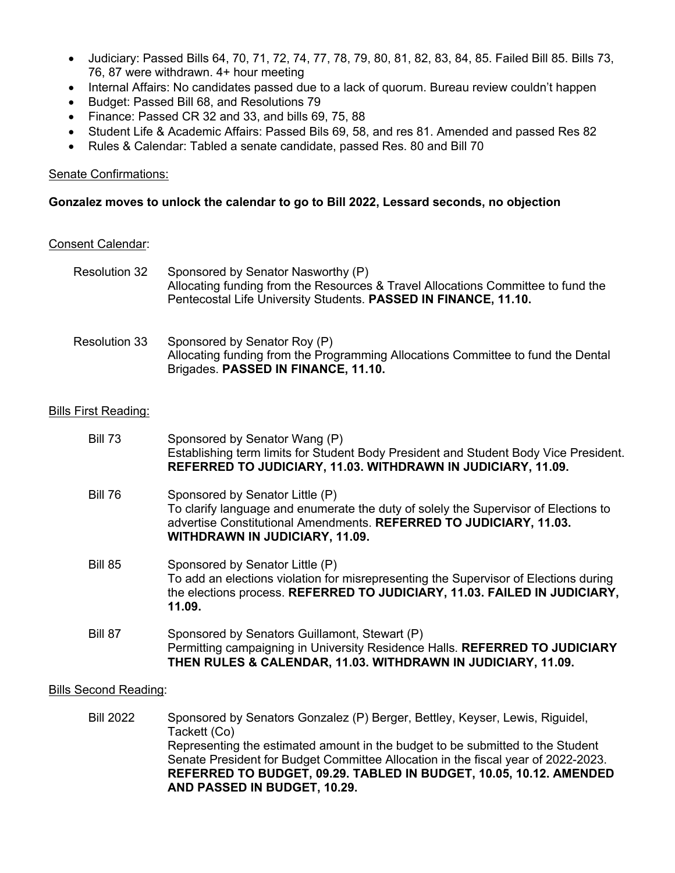- Judiciary: Passed Bills 64, 70, 71, 72, 74, 77, 78, 79, 80, 81, 82, 83, 84, 85. Failed Bill 85. Bills 73, 76, 87 were withdrawn. 4+ hour meeting
- Internal Affairs: No candidates passed due to a lack of quorum. Bureau review couldn't happen
- Budget: Passed Bill 68, and Resolutions 79
- Finance: Passed CR 32 and 33, and bills 69, 75, 88
- Student Life & Academic Affairs: Passed Bils 69, 58, and res 81. Amended and passed Res 82
- Rules & Calendar: Tabled a senate candidate, passed Res. 80 and Bill 70

## Senate Confirmations:

## **Gonzalez moves to unlock the calendar to go to Bill 2022, Lessard seconds, no objection**

### Consent Calendar:

| Resolution 32 | Sponsored by Senator Nasworthy (P)<br>Allocating funding from the Resources & Travel Allocations Committee to fund the<br>Pentecostal Life University Students. PASSED IN FINANCE, 11.10. |
|---------------|-------------------------------------------------------------------------------------------------------------------------------------------------------------------------------------------|
|               |                                                                                                                                                                                           |

## Resolution 33 Sponsored by Senator Roy (P) Allocating funding from the Programming Allocations Committee to fund the Dental Brigades. **PASSED IN FINANCE, 11.10.**

## Bills First Reading:

| <b>Bill 73</b> | Sponsored by Senator Wang (P)<br>Establishing term limits for Student Body President and Student Body Vice President.<br>REFERRED TO JUDICIARY, 11.03. WITHDRAWN IN JUDICIARY, 11.09.                                                 |
|----------------|---------------------------------------------------------------------------------------------------------------------------------------------------------------------------------------------------------------------------------------|
| <b>Bill 76</b> | Sponsored by Senator Little (P)<br>To clarify language and enumerate the duty of solely the Supervisor of Elections to<br>advertise Constitutional Amendments. REFERRED TO JUDICIARY, 11.03.<br><b>WITHDRAWN IN JUDICIARY, 11.09.</b> |
| <b>Bill 85</b> | Sponsored by Senator Little (P)<br>To add an elections violation for misrepresenting the Supervisor of Elections during<br>the elections process. REFERRED TO JUDICIARY, 11.03. FAILED IN JUDICIARY,<br>11.09.                        |
| Bill 87        | Sponsored by Senators Guillamont, Stewart (P)<br>Permitting campaigning in University Residence Halls. REFERRED TO JUDICIARY<br>THEN RULES & CALENDAR, 11.03. WITHDRAWN IN JUDICIARY, 11.09.                                          |

### Bills Second Reading:

Bill 2022 Sponsored by Senators Gonzalez (P) Berger, Bettley, Keyser, Lewis, Riguidel, Tackett (Co) Representing the estimated amount in the budget to be submitted to the Student Senate President for Budget Committee Allocation in the fiscal year of 2022-2023. **REFERRED TO BUDGET, 09.29. TABLED IN BUDGET, 10.05, 10.12. AMENDED AND PASSED IN BUDGET, 10.29.**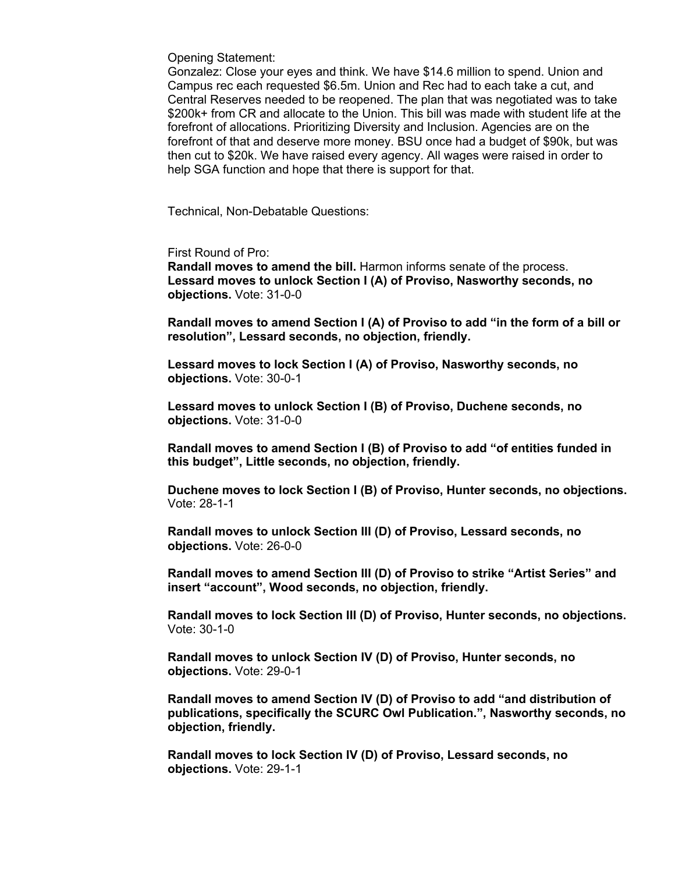Opening Statement:

Gonzalez: Close your eyes and think. We have \$14.6 million to spend. Union and Campus rec each requested \$6.5m. Union and Rec had to each take a cut, and Central Reserves needed to be reopened. The plan that was negotiated was to take \$200k+ from CR and allocate to the Union. This bill was made with student life at the forefront of allocations. Prioritizing Diversity and Inclusion. Agencies are on the forefront of that and deserve more money. BSU once had a budget of \$90k, but was then cut to \$20k. We have raised every agency. All wages were raised in order to help SGA function and hope that there is support for that.

Technical, Non-Debatable Questions:

First Round of Pro:

**Randall moves to amend the bill.** Harmon informs senate of the process. **Lessard moves to unlock Section I (A) of Proviso, Nasworthy seconds, no objections.** Vote: 31-0-0

**Randall moves to amend Section I (A) of Proviso to add "in the form of a bill or resolution", Lessard seconds, no objection, friendly.**

**Lessard moves to lock Section I (A) of Proviso, Nasworthy seconds, no objections.** Vote: 30-0-1

**Lessard moves to unlock Section I (B) of Proviso, Duchene seconds, no objections.** Vote: 31-0-0

**Randall moves to amend Section I (B) of Proviso to add "of entities funded in this budget", Little seconds, no objection, friendly.**

**Duchene moves to lock Section I (B) of Proviso, Hunter seconds, no objections.** Vote: 28-1-1

**Randall moves to unlock Section III (D) of Proviso, Lessard seconds, no objections.** Vote: 26-0-0

**Randall moves to amend Section III (D) of Proviso to strike "Artist Series" and insert "account", Wood seconds, no objection, friendly.**

**Randall moves to lock Section III (D) of Proviso, Hunter seconds, no objections.** Vote: 30-1-0

**Randall moves to unlock Section IV (D) of Proviso, Hunter seconds, no objections.** Vote: 29-0-1

**Randall moves to amend Section IV (D) of Proviso to add "and distribution of publications, specifically the SCURC Owl Publication.", Nasworthy seconds, no objection, friendly.**

**Randall moves to lock Section IV (D) of Proviso, Lessard seconds, no objections.** Vote: 29-1-1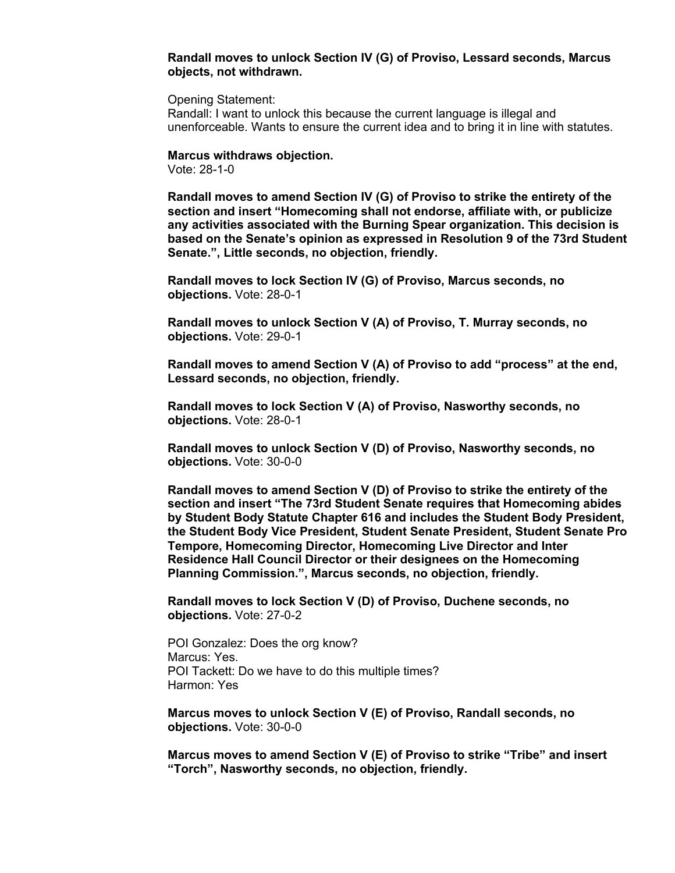#### **Randall moves to unlock Section IV (G) of Proviso, Lessard seconds, Marcus objects, not withdrawn.**

Opening Statement:

Randall: I want to unlock this because the current language is illegal and unenforceable. Wants to ensure the current idea and to bring it in line with statutes.

**Marcus withdraws objection.**

Vote: 28-1-0

**Randall moves to amend Section IV (G) of Proviso to strike the entirety of the section and insert "Homecoming shall not endorse, affiliate with, or publicize any activities associated with the Burning Spear organization. This decision is based on the Senate's opinion as expressed in Resolution 9 of the 73rd Student Senate.", Little seconds, no objection, friendly.**

**Randall moves to lock Section IV (G) of Proviso, Marcus seconds, no objections.** Vote: 28-0-1

**Randall moves to unlock Section V (A) of Proviso, T. Murray seconds, no objections.** Vote: 29-0-1

**Randall moves to amend Section V (A) of Proviso to add "process" at the end, Lessard seconds, no objection, friendly.**

**Randall moves to lock Section V (A) of Proviso, Nasworthy seconds, no objections.** Vote: 28-0-1

**Randall moves to unlock Section V (D) of Proviso, Nasworthy seconds, no objections.** Vote: 30-0-0

**Randall moves to amend Section V (D) of Proviso to strike the entirety of the section and insert "The 73rd Student Senate requires that Homecoming abides by Student Body Statute Chapter 616 and includes the Student Body President, the Student Body Vice President, Student Senate President, Student Senate Pro Tempore, Homecoming Director, Homecoming Live Director and Inter Residence Hall Council Director or their designees on the Homecoming Planning Commission.", Marcus seconds, no objection, friendly.**

**Randall moves to lock Section V (D) of Proviso, Duchene seconds, no objections.** Vote: 27-0-2

POI Gonzalez: Does the org know? Marcus: Yes. POI Tackett: Do we have to do this multiple times? Harmon: Yes

**Marcus moves to unlock Section V (E) of Proviso, Randall seconds, no objections.** Vote: 30-0-0

**Marcus moves to amend Section V (E) of Proviso to strike "Tribe" and insert "Torch", Nasworthy seconds, no objection, friendly.**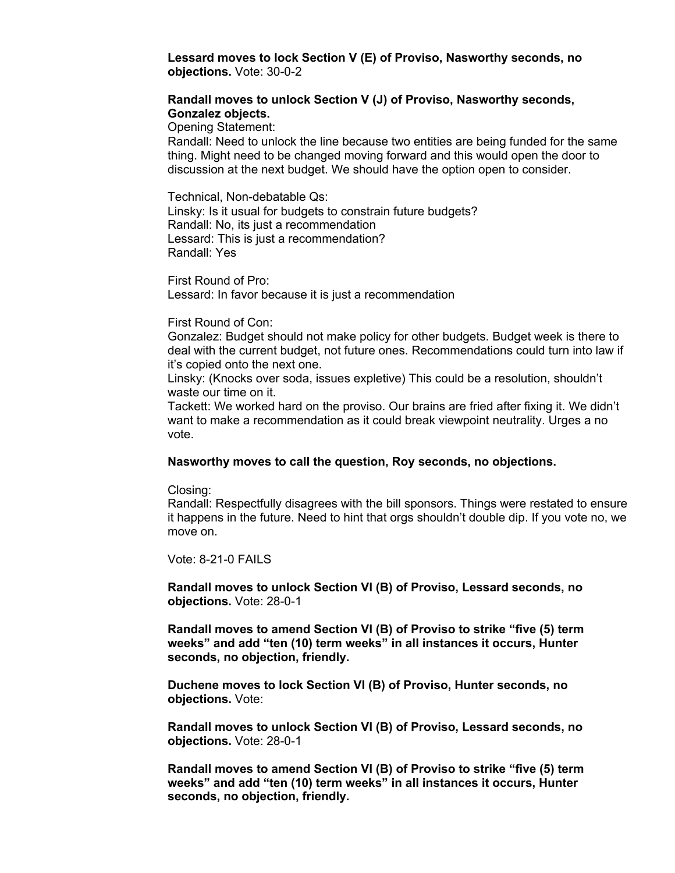**Lessard moves to lock Section V (E) of Proviso, Nasworthy seconds, no objections.** Vote: 30-0-2

#### **Randall moves to unlock Section V (J) of Proviso, Nasworthy seconds, Gonzalez objects.**

Opening Statement:

Randall: Need to unlock the line because two entities are being funded for the same thing. Might need to be changed moving forward and this would open the door to discussion at the next budget. We should have the option open to consider.

Technical, Non-debatable Qs: Linsky: Is it usual for budgets to constrain future budgets? Randall: No, its just a recommendation Lessard: This is just a recommendation? Randall: Yes

First Round of Pro: Lessard: In favor because it is just a recommendation

#### First Round of Con:

Gonzalez: Budget should not make policy for other budgets. Budget week is there to deal with the current budget, not future ones. Recommendations could turn into law if it's copied onto the next one.

Linsky: (Knocks over soda, issues expletive) This could be a resolution, shouldn't waste our time on it.

Tackett: We worked hard on the proviso. Our brains are fried after fixing it. We didn't want to make a recommendation as it could break viewpoint neutrality. Urges a no vote.

#### **Nasworthy moves to call the question, Roy seconds, no objections.**

Closing:

Randall: Respectfully disagrees with the bill sponsors. Things were restated to ensure it happens in the future. Need to hint that orgs shouldn't double dip. If you vote no, we move on.

Vote: 8-21-0 FAILS

**Randall moves to unlock Section VI (B) of Proviso, Lessard seconds, no objections.** Vote: 28-0-1

**Randall moves to amend Section VI (B) of Proviso to strike "five (5) term weeks" and add "ten (10) term weeks" in all instances it occurs, Hunter seconds, no objection, friendly.**

**Duchene moves to lock Section VI (B) of Proviso, Hunter seconds, no objections.** Vote:

**Randall moves to unlock Section VI (B) of Proviso, Lessard seconds, no objections.** Vote: 28-0-1

**Randall moves to amend Section VI (B) of Proviso to strike "five (5) term weeks" and add "ten (10) term weeks" in all instances it occurs, Hunter seconds, no objection, friendly.**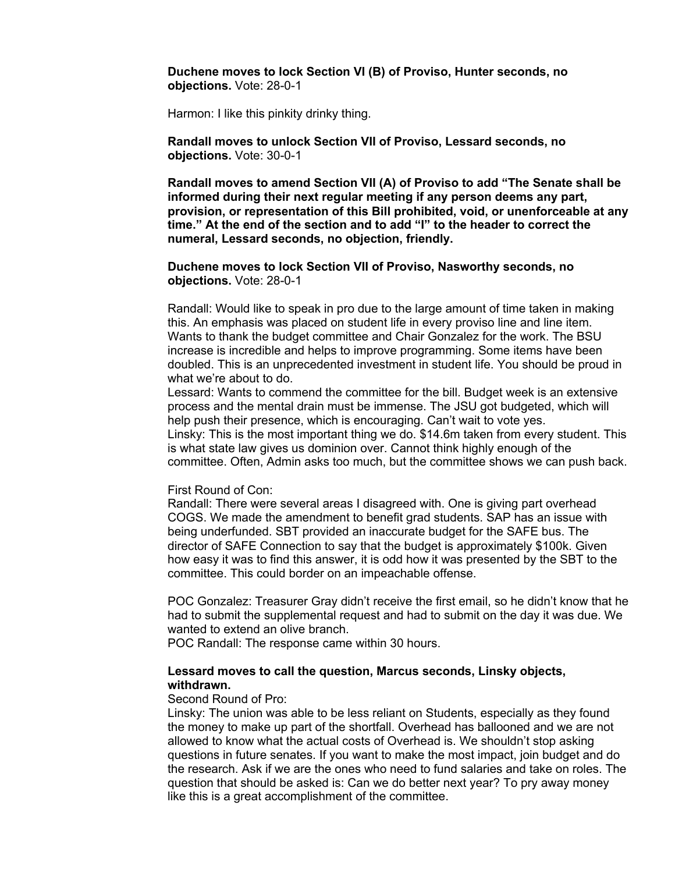**Duchene moves to lock Section VI (B) of Proviso, Hunter seconds, no objections.** Vote: 28-0-1

Harmon: I like this pinkity drinky thing.

**Randall moves to unlock Section VII of Proviso, Lessard seconds, no objections.** Vote: 30-0-1

**Randall moves to amend Section VII (A) of Proviso to add "The Senate shall be informed during their next regular meeting if any person deems any part, provision, or representation of this Bill prohibited, void, or unenforceable at any time." At the end of the section and to add "I" to the header to correct the numeral, Lessard seconds, no objection, friendly.**

#### **Duchene moves to lock Section VII of Proviso, Nasworthy seconds, no objections.** Vote: 28-0-1

Randall: Would like to speak in pro due to the large amount of time taken in making this. An emphasis was placed on student life in every proviso line and line item. Wants to thank the budget committee and Chair Gonzalez for the work. The BSU increase is incredible and helps to improve programming. Some items have been doubled. This is an unprecedented investment in student life. You should be proud in what we're about to do.

Lessard: Wants to commend the committee for the bill. Budget week is an extensive process and the mental drain must be immense. The JSU got budgeted, which will help push their presence, which is encouraging. Can't wait to vote yes.

Linsky: This is the most important thing we do. \$14.6m taken from every student. This is what state law gives us dominion over. Cannot think highly enough of the committee. Often, Admin asks too much, but the committee shows we can push back.

#### First Round of Con:

Randall: There were several areas I disagreed with. One is giving part overhead COGS. We made the amendment to benefit grad students. SAP has an issue with being underfunded. SBT provided an inaccurate budget for the SAFE bus. The director of SAFE Connection to say that the budget is approximately \$100k. Given how easy it was to find this answer, it is odd how it was presented by the SBT to the committee. This could border on an impeachable offense.

POC Gonzalez: Treasurer Gray didn't receive the first email, so he didn't know that he had to submit the supplemental request and had to submit on the day it was due. We wanted to extend an olive branch.

POC Randall: The response came within 30 hours.

#### **Lessard moves to call the question, Marcus seconds, Linsky objects, withdrawn.**

#### Second Round of Pro:

Linsky: The union was able to be less reliant on Students, especially as they found the money to make up part of the shortfall. Overhead has ballooned and we are not allowed to know what the actual costs of Overhead is. We shouldn't stop asking questions in future senates. If you want to make the most impact, join budget and do the research. Ask if we are the ones who need to fund salaries and take on roles. The question that should be asked is: Can we do better next year? To pry away money like this is a great accomplishment of the committee.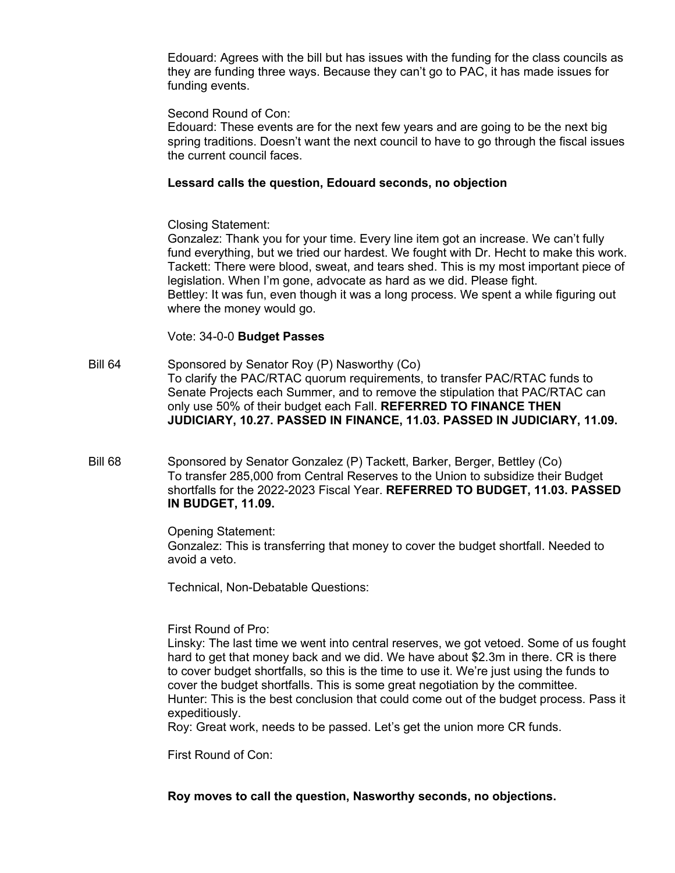Edouard: Agrees with the bill but has issues with the funding for the class councils as they are funding three ways. Because they can't go to PAC, it has made issues for funding events.

## Second Round of Con:

Edouard: These events are for the next few years and are going to be the next big spring traditions. Doesn't want the next council to have to go through the fiscal issues the current council faces.

## **Lessard calls the question, Edouard seconds, no objection**

Closing Statement:

Gonzalez: Thank you for your time. Every line item got an increase. We can't fully fund everything, but we tried our hardest. We fought with Dr. Hecht to make this work. Tackett: There were blood, sweat, and tears shed. This is my most important piece of legislation. When I'm gone, advocate as hard as we did. Please fight. Bettley: It was fun, even though it was a long process. We spent a while figuring out where the money would go.

## Vote: 34-0-0 **Budget Passes**

Bill 64 Sponsored by Senator Roy (P) Nasworthy (Co) To clarify the PAC/RTAC quorum requirements, to transfer PAC/RTAC funds to Senate Projects each Summer, and to remove the stipulation that PAC/RTAC can only use 50% of their budget each Fall. **REFERRED TO FINANCE THEN JUDICIARY, 10.27. PASSED IN FINANCE, 11.03. PASSED IN JUDICIARY, 11.09.** 

Bill 68 Sponsored by Senator Gonzalez (P) Tackett, Barker, Berger, Bettley (Co) To transfer 285,000 from Central Reserves to the Union to subsidize their Budget shortfalls for the 2022-2023 Fiscal Year. **REFERRED TO BUDGET, 11.03. PASSED IN BUDGET, 11.09.**

> Opening Statement: Gonzalez: This is transferring that money to cover the budget shortfall. Needed to avoid a veto.

Technical, Non-Debatable Questions:

First Round of Pro:

Linsky: The last time we went into central reserves, we got vetoed. Some of us fought hard to get that money back and we did. We have about \$2.3m in there. CR is there to cover budget shortfalls, so this is the time to use it. We're just using the funds to cover the budget shortfalls. This is some great negotiation by the committee. Hunter: This is the best conclusion that could come out of the budget process. Pass it expeditiously.

Roy: Great work, needs to be passed. Let's get the union more CR funds.

First Round of Con:

**Roy moves to call the question, Nasworthy seconds, no objections.**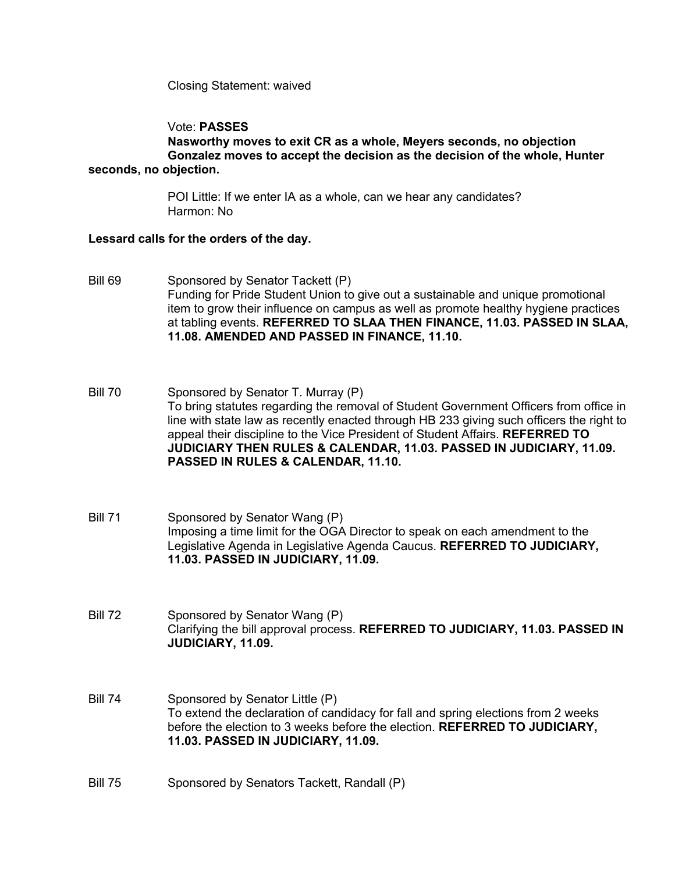Closing Statement: waived

## Vote: **PASSES**

**Nasworthy moves to exit CR as a whole, Meyers seconds, no objection Gonzalez moves to accept the decision as the decision of the whole, Hunter seconds, no objection.**

> POI Little: If we enter IA as a whole, can we hear any candidates? Harmon: No

### **Lessard calls for the orders of the day.**

- Bill 69 Sponsored by Senator Tackett (P) Funding for Pride Student Union to give out a sustainable and unique promotional item to grow their influence on campus as well as promote healthy hygiene practices at tabling events. **REFERRED TO SLAA THEN FINANCE, 11.03. PASSED IN SLAA, 11.08. AMENDED AND PASSED IN FINANCE, 11.10.**
- Bill 70 Sponsored by Senator T. Murray (P) To bring statutes regarding the removal of Student Government Officers from office in line with state law as recently enacted through HB 233 giving such officers the right to appeal their discipline to the Vice President of Student Affairs. **REFERRED TO JUDICIARY THEN RULES & CALENDAR, 11.03. PASSED IN JUDICIARY, 11.09. PASSED IN RULES & CALENDAR, 11.10.**
- Bill 71 Sponsored by Senator Wang (P) Imposing a time limit for the OGA Director to speak on each amendment to the Legislative Agenda in Legislative Agenda Caucus. **REFERRED TO JUDICIARY, 11.03. PASSED IN JUDICIARY, 11.09.**
- Bill 72 Sponsored by Senator Wang (P) Clarifying the bill approval process. **REFERRED TO JUDICIARY, 11.03. PASSED IN JUDICIARY, 11.09.**
- Bill 74 Sponsored by Senator Little (P) To extend the declaration of candidacy for fall and spring elections from 2 weeks before the election to 3 weeks before the election. **REFERRED TO JUDICIARY, 11.03. PASSED IN JUDICIARY, 11.09.**
- Bill 75 Sponsored by Senators Tackett, Randall (P)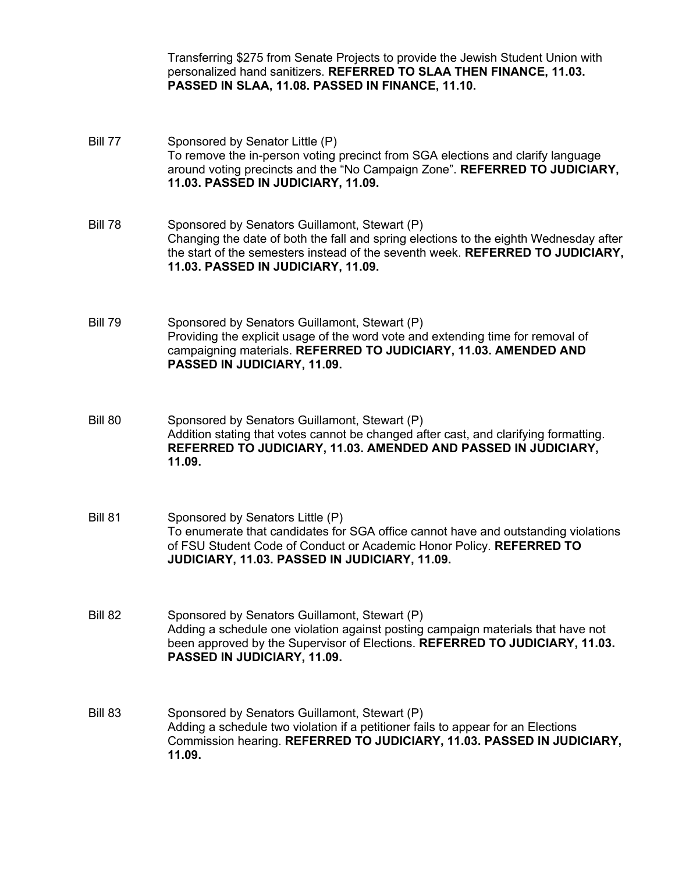Transferring \$275 from Senate Projects to provide the Jewish Student Union with personalized hand sanitizers. **REFERRED TO SLAA THEN FINANCE, 11.03. PASSED IN SLAA, 11.08. PASSED IN FINANCE, 11.10.**

Bill 77 Sponsored by Senator Little (P) To remove the in-person voting precinct from SGA elections and clarify language around voting precincts and the "No Campaign Zone". **REFERRED TO JUDICIARY, 11.03. PASSED IN JUDICIARY, 11.09.**  Bill 78 Sponsored by Senators Guillamont, Stewart (P) Changing the date of both the fall and spring elections to the eighth Wednesday after the start of the semesters instead of the seventh week. **REFERRED TO JUDICIARY, 11.03. PASSED IN JUDICIARY, 11.09.**  Bill 79 Sponsored by Senators Guillamont, Stewart (P) Providing the explicit usage of the word vote and extending time for removal of campaigning materials. **REFERRED TO JUDICIARY, 11.03. AMENDED AND PASSED IN JUDICIARY, 11.09.**  Bill 80 Sponsored by Senators Guillamont, Stewart (P) Addition stating that votes cannot be changed after cast, and clarifying formatting. **REFERRED TO JUDICIARY, 11.03. AMENDED AND PASSED IN JUDICIARY, 11.09.** Bill 81 Sponsored by Senators Little (P) To enumerate that candidates for SGA office cannot have and outstanding violations of FSU Student Code of Conduct or Academic Honor Policy. **REFERRED TO JUDICIARY, 11.03. PASSED IN JUDICIARY, 11.09.**  Bill 82 Sponsored by Senators Guillamont, Stewart (P) Adding a schedule one violation against posting campaign materials that have not been approved by the Supervisor of Elections. **REFERRED TO JUDICIARY, 11.03. PASSED IN JUDICIARY, 11.09.** Bill 83 Sponsored by Senators Guillamont, Stewart (P) Adding a schedule two violation if a petitioner fails to appear for an Elections Commission hearing. **REFERRED TO JUDICIARY, 11.03. PASSED IN JUDICIARY, 11.09.**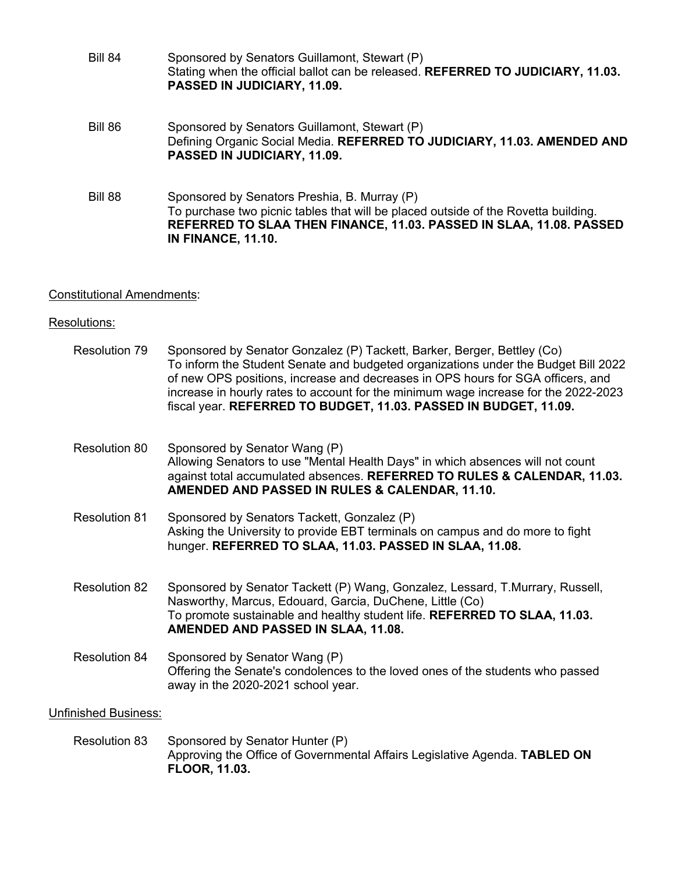| <b>Bill 84</b> | Sponsored by Senators Guillamont, Stewart (P)<br>Stating when the official ballot can be released. REFERRED TO JUDICIARY, 11.03.<br>PASSED IN JUDICIARY, 11.09.                                                                        |
|----------------|----------------------------------------------------------------------------------------------------------------------------------------------------------------------------------------------------------------------------------------|
| Bill 86        | Sponsored by Senators Guillamont, Stewart (P)<br>Defining Organic Social Media. REFERRED TO JUDICIARY, 11.03. AMENDED AND<br>PASSED IN JUDICIARY, 11.09.                                                                               |
| Bill 88        | Sponsored by Senators Preshia, B. Murray (P)<br>To purchase two picnic tables that will be placed outside of the Rovetta building.<br>REFERRED TO SLAA THEN FINANCE, 11.03. PASSED IN SLAA, 11.08. PASSED<br><b>IN FINANCE, 11.10.</b> |

# Constitutional Amendments:

# Resolutions:

| <b>Resolution 79</b>        | Sponsored by Senator Gonzalez (P) Tackett, Barker, Berger, Bettley (Co)<br>To inform the Student Senate and budgeted organizations under the Budget Bill 2022<br>of new OPS positions, increase and decreases in OPS hours for SGA officers, and<br>increase in hourly rates to account for the minimum wage increase for the 2022-2023<br>fiscal year. REFERRED TO BUDGET, 11.03. PASSED IN BUDGET, 11.09. |
|-----------------------------|-------------------------------------------------------------------------------------------------------------------------------------------------------------------------------------------------------------------------------------------------------------------------------------------------------------------------------------------------------------------------------------------------------------|
| Resolution 80               | Sponsored by Senator Wang (P)<br>Allowing Senators to use "Mental Health Days" in which absences will not count<br>against total accumulated absences. REFERRED TO RULES & CALENDAR, 11.03.<br>AMENDED AND PASSED IN RULES & CALENDAR, 11.10.                                                                                                                                                               |
| <b>Resolution 81</b>        | Sponsored by Senators Tackett, Gonzalez (P)<br>Asking the University to provide EBT terminals on campus and do more to fight<br>hunger. REFERRED TO SLAA, 11.03. PASSED IN SLAA, 11.08.                                                                                                                                                                                                                     |
| <b>Resolution 82</b>        | Sponsored by Senator Tackett (P) Wang, Gonzalez, Lessard, T.Murrary, Russell,<br>Nasworthy, Marcus, Edouard, Garcia, DuChene, Little (Co)<br>To promote sustainable and healthy student life. REFERRED TO SLAA, 11.03.<br>AMENDED AND PASSED IN SLAA, 11.08.                                                                                                                                                |
| <b>Resolution 84</b>        | Sponsored by Senator Wang (P)<br>Offering the Senate's condolences to the loved ones of the students who passed<br>away in the 2020-2021 school year.                                                                                                                                                                                                                                                       |
| <b>Unfinished Business:</b> |                                                                                                                                                                                                                                                                                                                                                                                                             |
| <b>Resolution 83</b>        | Sponsored by Senator Hunter (P)<br>Approving the Office of Governmental Affairs Legislative Agenda. TABLED ON<br><b>FLOOR, 11.03.</b>                                                                                                                                                                                                                                                                       |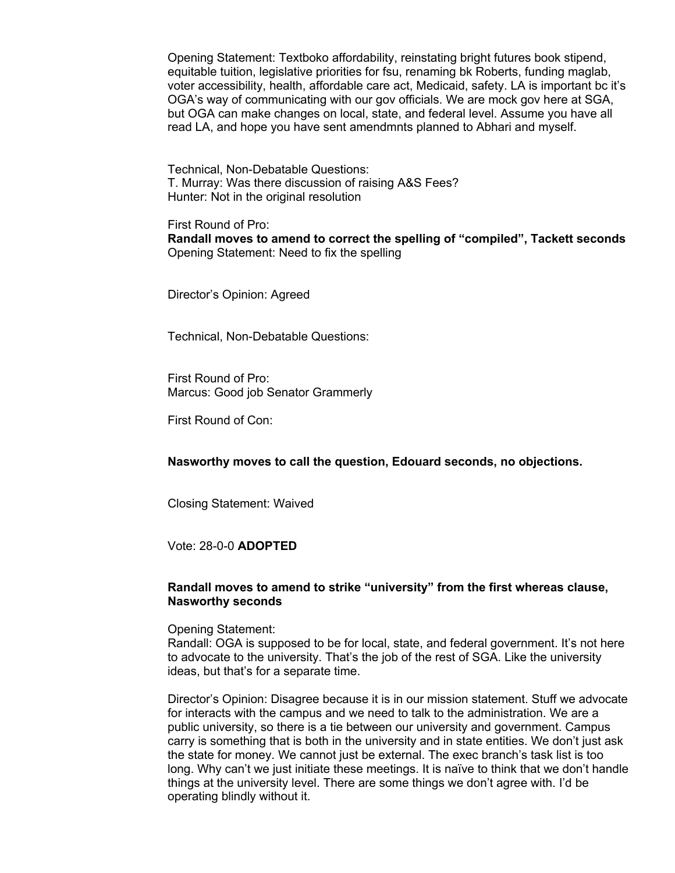Opening Statement: Textboko affordability, reinstating bright futures book stipend, equitable tuition, legislative priorities for fsu, renaming bk Roberts, funding maglab, voter accessibility, health, affordable care act, Medicaid, safety. LA is important bc it's OGA's way of communicating with our gov officials. We are mock gov here at SGA, but OGA can make changes on local, state, and federal level. Assume you have all read LA, and hope you have sent amendmnts planned to Abhari and myself.

Technical, Non-Debatable Questions: T. Murray: Was there discussion of raising A&S Fees? Hunter: Not in the original resolution

First Round of Pro: **Randall moves to amend to correct the spelling of "compiled", Tackett seconds** Opening Statement: Need to fix the spelling

Director's Opinion: Agreed

Technical, Non-Debatable Questions:

First Round of Pro: Marcus: Good job Senator Grammerly

First Round of Con:

**Nasworthy moves to call the question, Edouard seconds, no objections.**

Closing Statement: Waived

Vote: 28-0-0 **ADOPTED**

### **Randall moves to amend to strike "university" from the first whereas clause, Nasworthy seconds**

Opening Statement:

Randall: OGA is supposed to be for local, state, and federal government. It's not here to advocate to the university. That's the job of the rest of SGA. Like the university ideas, but that's for a separate time.

Director's Opinion: Disagree because it is in our mission statement. Stuff we advocate for interacts with the campus and we need to talk to the administration. We are a public university, so there is a tie between our university and government. Campus carry is something that is both in the university and in state entities. We don't just ask the state for money. We cannot just be external. The exec branch's task list is too long. Why can't we just initiate these meetings. It is naïve to think that we don't handle things at the university level. There are some things we don't agree with. I'd be operating blindly without it.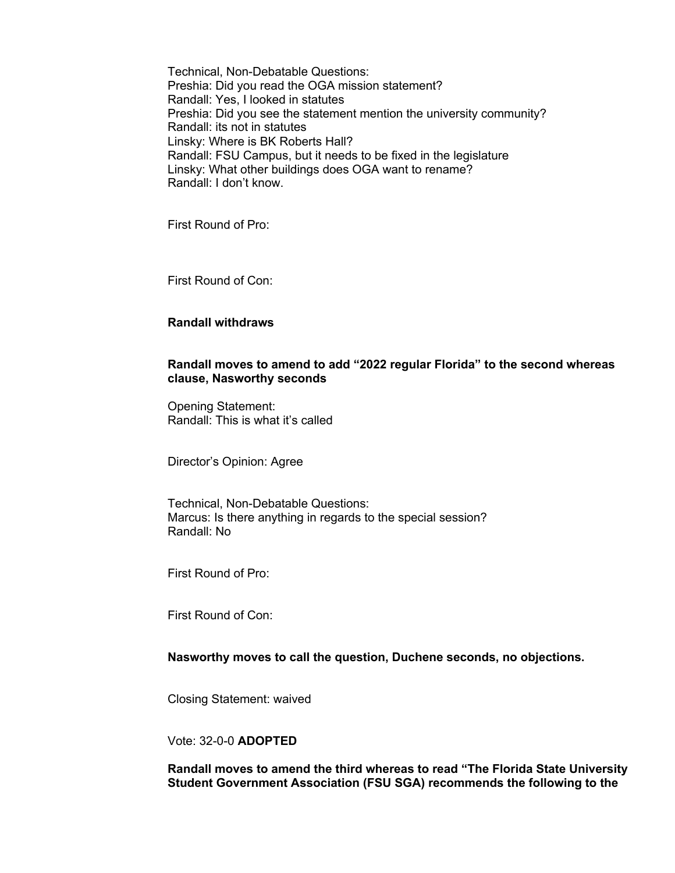Technical, Non-Debatable Questions: Preshia: Did you read the OGA mission statement? Randall: Yes, I looked in statutes Preshia: Did you see the statement mention the university community? Randall: its not in statutes Linsky: Where is BK Roberts Hall? Randall: FSU Campus, but it needs to be fixed in the legislature Linsky: What other buildings does OGA want to rename? Randall: I don't know.

First Round of Pro:

First Round of Con:

## **Randall withdraws**

## **Randall moves to amend to add "2022 regular Florida" to the second whereas clause, Nasworthy seconds**

Opening Statement: Randall: This is what it's called

Director's Opinion: Agree

Technical, Non-Debatable Questions: Marcus: Is there anything in regards to the special session? Randall: No

First Round of Pro:

First Round of Con:

**Nasworthy moves to call the question, Duchene seconds, no objections.**

Closing Statement: waived

## Vote: 32-0-0 **ADOPTED**

**Randall moves to amend the third whereas to read "The Florida State University Student Government Association (FSU SGA) recommends the following to the**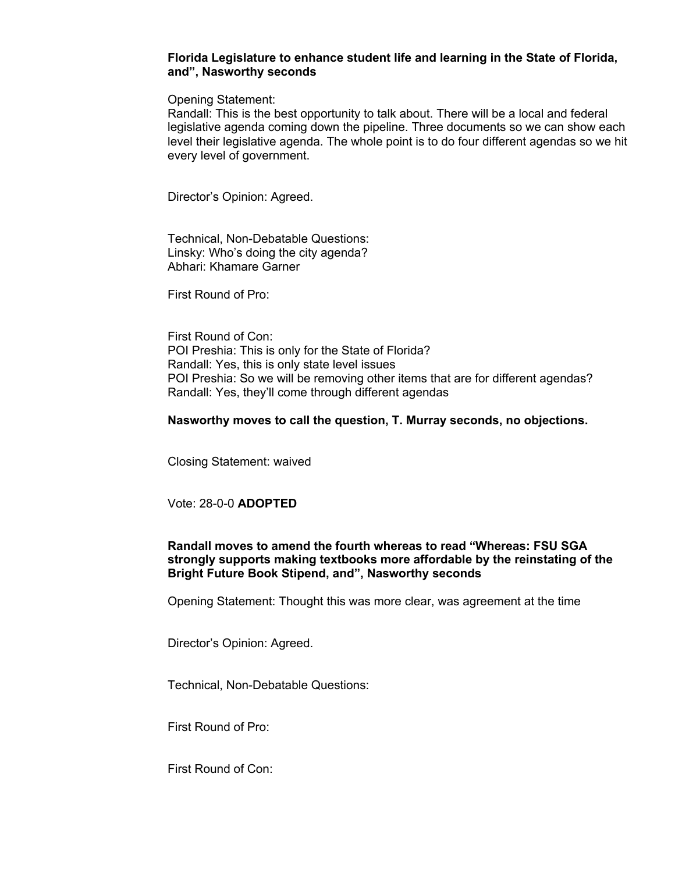### **Florida Legislature to enhance student life and learning in the State of Florida, and", Nasworthy seconds**

Opening Statement:

Randall: This is the best opportunity to talk about. There will be a local and federal legislative agenda coming down the pipeline. Three documents so we can show each level their legislative agenda. The whole point is to do four different agendas so we hit every level of government.

Director's Opinion: Agreed.

Technical, Non-Debatable Questions: Linsky: Who's doing the city agenda? Abhari: Khamare Garner

First Round of Pro:

First Round of Con: POI Preshia: This is only for the State of Florida? Randall: Yes, this is only state level issues POI Preshia: So we will be removing other items that are for different agendas? Randall: Yes, they'll come through different agendas

### **Nasworthy moves to call the question, T. Murray seconds, no objections.**

Closing Statement: waived

## Vote: 28-0-0 **ADOPTED**

## **Randall moves to amend the fourth whereas to read "Whereas: FSU SGA strongly supports making textbooks more affordable by the reinstating of the Bright Future Book Stipend, and", Nasworthy seconds**

Opening Statement: Thought this was more clear, was agreement at the time

Director's Opinion: Agreed.

Technical, Non-Debatable Questions:

First Round of Pro:

First Round of Con: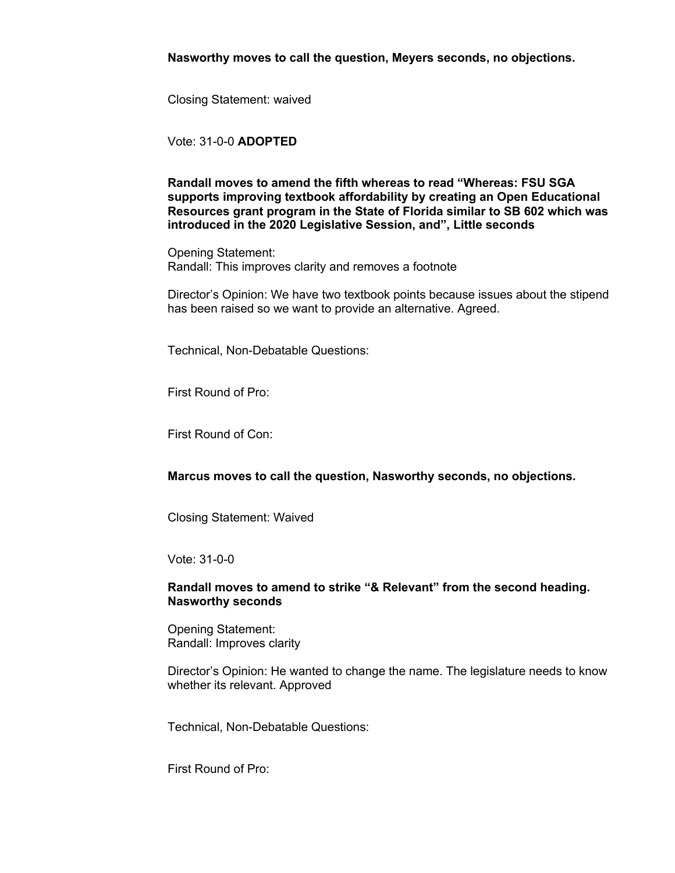**Nasworthy moves to call the question, Meyers seconds, no objections.**

Closing Statement: waived

Vote: 31-0-0 **ADOPTED**

**Randall moves to amend the fifth whereas to read "Whereas: FSU SGA supports improving textbook affordability by creating an Open Educational Resources grant program in the State of Florida similar to SB 602 which was introduced in the 2020 Legislative Session, and", Little seconds**

Opening Statement: Randall: This improves clarity and removes a footnote

Director's Opinion: We have two textbook points because issues about the stipend has been raised so we want to provide an alternative. Agreed.

Technical, Non-Debatable Questions:

First Round of Pro:

First Round of Con:

**Marcus moves to call the question, Nasworthy seconds, no objections.**

Closing Statement: Waived

Vote: 31-0-0

#### **Randall moves to amend to strike "& Relevant" from the second heading. Nasworthy seconds**

Opening Statement: Randall: Improves clarity

Director's Opinion: He wanted to change the name. The legislature needs to know whether its relevant. Approved

Technical, Non-Debatable Questions:

First Round of Pro: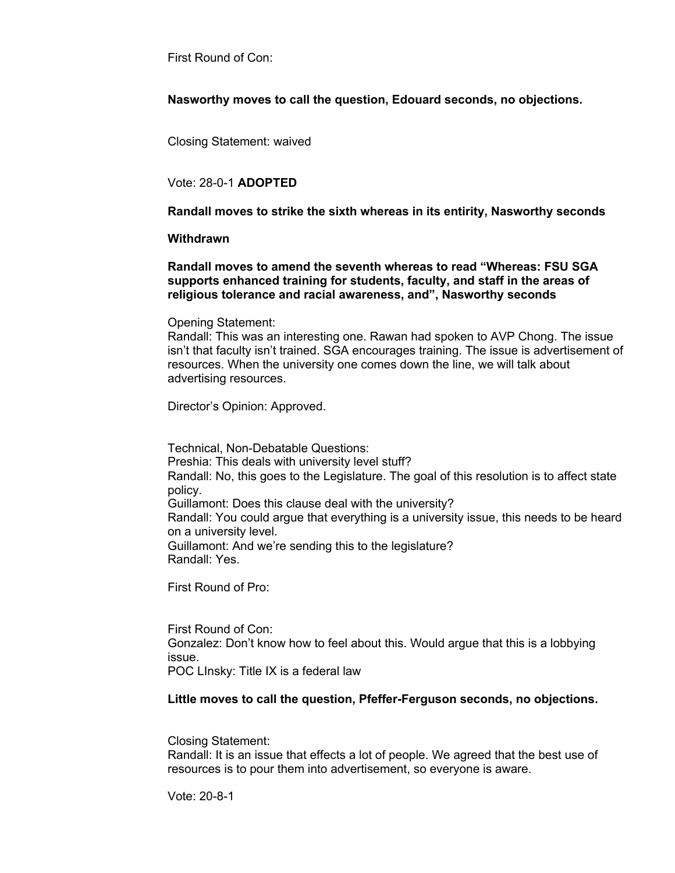First Round of Con:

**Nasworthy moves to call the question, Edouard seconds, no objections.**

Closing Statement: waived

## Vote: 28-0-1 **ADOPTED**

**Randall moves to strike the sixth whereas in its entirity, Nasworthy seconds**

### **Withdrawn**

**Randall moves to amend the seventh whereas to read "Whereas: FSU SGA supports enhanced training for students, faculty, and staff in the areas of religious tolerance and racial awareness, and", Nasworthy seconds**

Opening Statement:

Randall: This was an interesting one. Rawan had spoken to AVP Chong. The issue isn't that faculty isn't trained. SGA encourages training. The issue is advertisement of resources. When the university one comes down the line, we will talk about advertising resources.

Director's Opinion: Approved.

Technical, Non-Debatable Questions: Preshia: This deals with university level stuff? Randall: No, this goes to the Legislature. The goal of this resolution is to affect state policy. Guillamont: Does this clause deal with the university? Randall: You could argue that everything is a university issue, this needs to be heard on a university level. Guillamont: And we're sending this to the legislature? Randall: Yes.

First Round of Pro:

First Round of Con: Gonzalez: Don't know how to feel about this. Would argue that this is a lobbying issue. POC LInsky: Title IX is a federal law

## **Little moves to call the question, Pfeffer-Ferguson seconds, no objections.**

Closing Statement:

Randall: It is an issue that effects a lot of people. We agreed that the best use of resources is to pour them into advertisement, so everyone is aware.

Vote: 20-8-1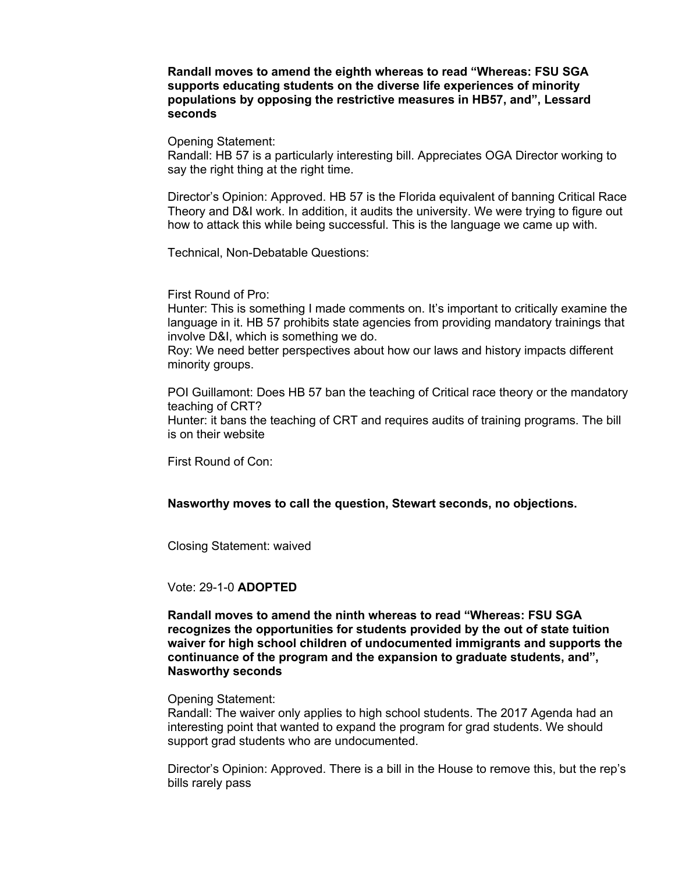### **Randall moves to amend the eighth whereas to read "Whereas: FSU SGA supports educating students on the diverse life experiences of minority populations by opposing the restrictive measures in HB57, and", Lessard seconds**

Opening Statement:

Randall: HB 57 is a particularly interesting bill. Appreciates OGA Director working to say the right thing at the right time.

Director's Opinion: Approved. HB 57 is the Florida equivalent of banning Critical Race Theory and D&I work. In addition, it audits the university. We were trying to figure out how to attack this while being successful. This is the language we came up with.

Technical, Non-Debatable Questions:

First Round of Pro:

Hunter: This is something I made comments on. It's important to critically examine the language in it. HB 57 prohibits state agencies from providing mandatory trainings that involve D&I, which is something we do.

Roy: We need better perspectives about how our laws and history impacts different minority groups.

POI Guillamont: Does HB 57 ban the teaching of Critical race theory or the mandatory teaching of CRT? Hunter: it bans the teaching of CRT and requires audits of training programs. The bill is on their website

First Round of Con:

## **Nasworthy moves to call the question, Stewart seconds, no objections.**

Closing Statement: waived

### Vote: 29-1-0 **ADOPTED**

**Randall moves to amend the ninth whereas to read "Whereas: FSU SGA recognizes the opportunities for students provided by the out of state tuition waiver for high school children of undocumented immigrants and supports the continuance of the program and the expansion to graduate students, and", Nasworthy seconds**

Opening Statement:

Randall: The waiver only applies to high school students. The 2017 Agenda had an interesting point that wanted to expand the program for grad students. We should support grad students who are undocumented.

Director's Opinion: Approved. There is a bill in the House to remove this, but the rep's bills rarely pass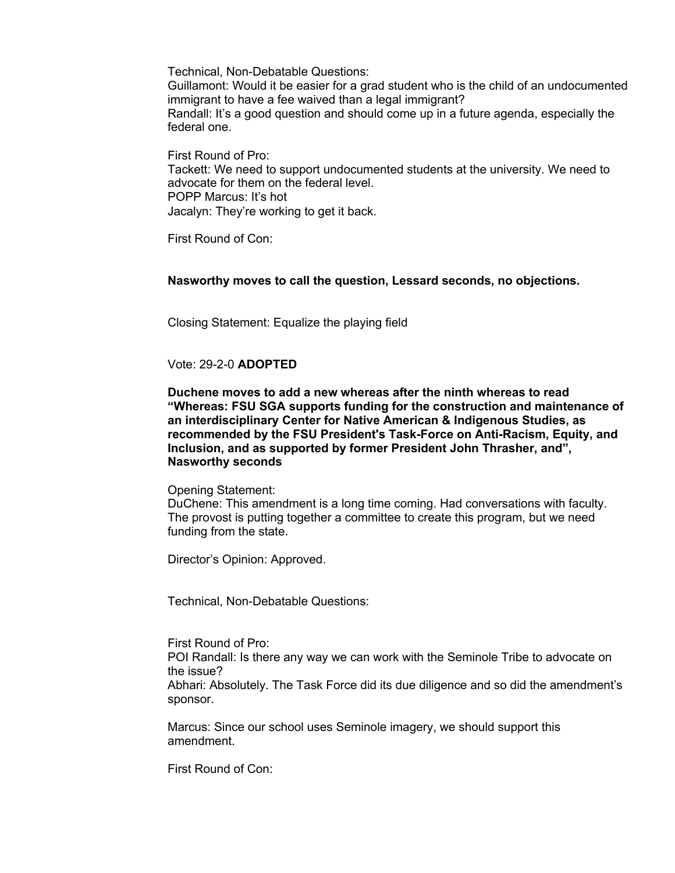Guillamont: Would it be easier for a grad student who is the child of an undocumented immigrant to have a fee waived than a legal immigrant? Randall: It's a good question and should come up in a future agenda, especially the federal one.

First Round of Pro: Tackett: We need to support undocumented students at the university. We need to advocate for them on the federal level. POPP Marcus: It's hot Jacalyn: They're working to get it back.

First Round of Con:

## **Nasworthy moves to call the question, Lessard seconds, no objections.**

Closing Statement: Equalize the playing field

## Vote: 29-2-0 **ADOPTED**

**Duchene moves to add a new whereas after the ninth whereas to read "Whereas: FSU SGA supports funding for the construction and maintenance of an interdisciplinary Center for Native American & Indigenous Studies, as recommended by the FSU President's Task-Force on Anti-Racism, Equity, and Inclusion, and as supported by former President John Thrasher, and", Nasworthy seconds**

### Opening Statement:

DuChene: This amendment is a long time coming. Had conversations with faculty. The provost is putting together a committee to create this program, but we need funding from the state.

Director's Opinion: Approved.

Technical, Non-Debatable Questions:

First Round of Pro:

POI Randall: Is there any way we can work with the Seminole Tribe to advocate on the issue?

Abhari: Absolutely. The Task Force did its due diligence and so did the amendment's sponsor.

Marcus: Since our school uses Seminole imagery, we should support this amendment.

First Round of Con: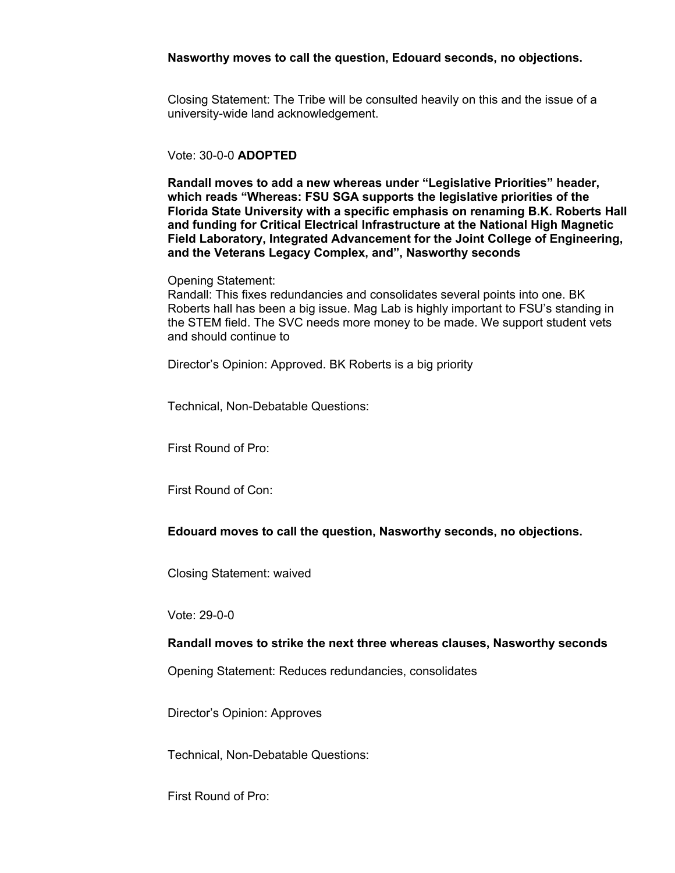### **Nasworthy moves to call the question, Edouard seconds, no objections.**

Closing Statement: The Tribe will be consulted heavily on this and the issue of a university-wide land acknowledgement.

## Vote: 30-0-0 **ADOPTED**

**Randall moves to add a new whereas under "Legislative Priorities" header, which reads "Whereas: FSU SGA supports the legislative priorities of the Florida State University with a specific emphasis on renaming B.K. Roberts Hall and funding for Critical Electrical Infrastructure at the National High Magnetic Field Laboratory, Integrated Advancement for the Joint College of Engineering, and the Veterans Legacy Complex, and", Nasworthy seconds**

#### Opening Statement:

Randall: This fixes redundancies and consolidates several points into one. BK Roberts hall has been a big issue. Mag Lab is highly important to FSU's standing in the STEM field. The SVC needs more money to be made. We support student vets and should continue to

Director's Opinion: Approved. BK Roberts is a big priority

Technical, Non-Debatable Questions:

First Round of Pro:

First Round of Con:

**Edouard moves to call the question, Nasworthy seconds, no objections.**

Closing Statement: waived

Vote: 29-0-0

### **Randall moves to strike the next three whereas clauses, Nasworthy seconds**

Opening Statement: Reduces redundancies, consolidates

Director's Opinion: Approves

Technical, Non-Debatable Questions:

First Round of Pro: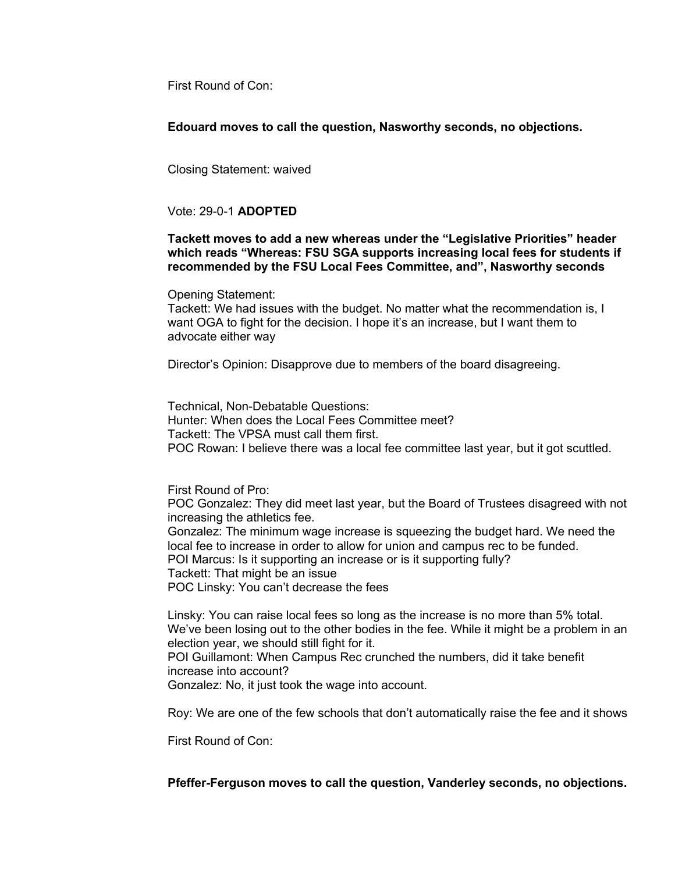First Round of Con:

**Edouard moves to call the question, Nasworthy seconds, no objections.**

Closing Statement: waived

## Vote: 29-0-1 **ADOPTED**

## **Tackett moves to add a new whereas under the "Legislative Priorities" header which reads "Whereas: FSU SGA supports increasing local fees for students if recommended by the FSU Local Fees Committee, and", Nasworthy seconds**

Opening Statement:

Tackett: We had issues with the budget. No matter what the recommendation is, I want OGA to fight for the decision. I hope it's an increase, but I want them to advocate either way

Director's Opinion: Disapprove due to members of the board disagreeing.

Technical, Non-Debatable Questions: Hunter: When does the Local Fees Committee meet? Tackett: The VPSA must call them first. POC Rowan: I believe there was a local fee committee last year, but it got scuttled.

First Round of Pro:

POC Gonzalez: They did meet last year, but the Board of Trustees disagreed with not increasing the athletics fee.

Gonzalez: The minimum wage increase is squeezing the budget hard. We need the local fee to increase in order to allow for union and campus rec to be funded. POI Marcus: Is it supporting an increase or is it supporting fully?

Tackett: That might be an issue

POC Linsky: You can't decrease the fees

Linsky: You can raise local fees so long as the increase is no more than 5% total. We've been losing out to the other bodies in the fee. While it might be a problem in an election year, we should still fight for it.

POI Guillamont: When Campus Rec crunched the numbers, did it take benefit increase into account?

Gonzalez: No, it just took the wage into account.

Roy: We are one of the few schools that don't automatically raise the fee and it shows

First Round of Con:

**Pfeffer-Ferguson moves to call the question, Vanderley seconds, no objections.**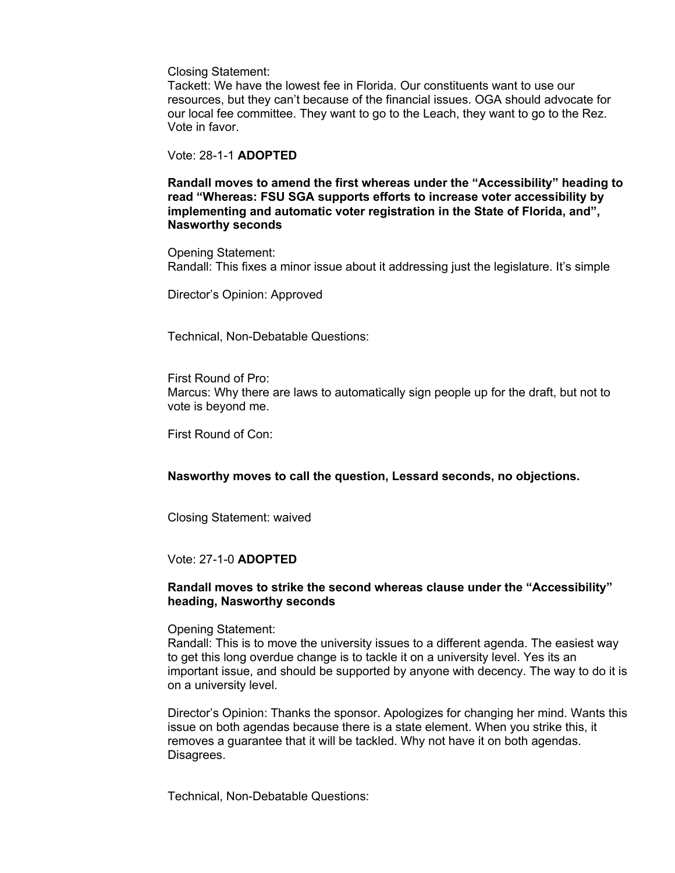Closing Statement:

Tackett: We have the lowest fee in Florida. Our constituents want to use our resources, but they can't because of the financial issues. OGA should advocate for our local fee committee. They want to go to the Leach, they want to go to the Rez. Vote in favor.

### Vote: 28-1-1 **ADOPTED**

**Randall moves to amend the first whereas under the "Accessibility" heading to read "Whereas: FSU SGA supports efforts to increase voter accessibility by implementing and automatic voter registration in the State of Florida, and", Nasworthy seconds**

Opening Statement: Randall: This fixes a minor issue about it addressing just the legislature. It's simple

Director's Opinion: Approved

Technical, Non-Debatable Questions:

First Round of Pro: Marcus: Why there are laws to automatically sign people up for the draft, but not to vote is beyond me.

First Round of Con:

**Nasworthy moves to call the question, Lessard seconds, no objections.**

Closing Statement: waived

### Vote: 27-1-0 **ADOPTED**

### **Randall moves to strike the second whereas clause under the "Accessibility" heading, Nasworthy seconds**

Opening Statement:

Randall: This is to move the university issues to a different agenda. The easiest way to get this long overdue change is to tackle it on a university level. Yes its an important issue, and should be supported by anyone with decency. The way to do it is on a university level.

Director's Opinion: Thanks the sponsor. Apologizes for changing her mind. Wants this issue on both agendas because there is a state element. When you strike this, it removes a guarantee that it will be tackled. Why not have it on both agendas. Disagrees.

Technical, Non-Debatable Questions: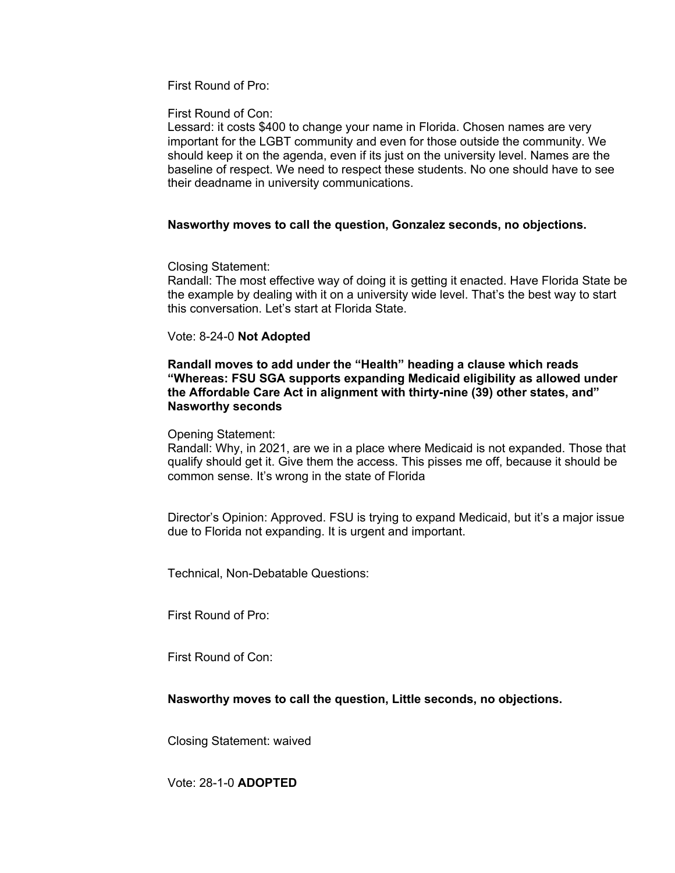First Round of Pro:

First Round of Con:

Lessard: it costs \$400 to change your name in Florida. Chosen names are very important for the LGBT community and even for those outside the community. We should keep it on the agenda, even if its just on the university level. Names are the baseline of respect. We need to respect these students. No one should have to see their deadname in university communications.

## **Nasworthy moves to call the question, Gonzalez seconds, no objections.**

Closing Statement:

Randall: The most effective way of doing it is getting it enacted. Have Florida State be the example by dealing with it on a university wide level. That's the best way to start this conversation. Let's start at Florida State.

## Vote: 8-24-0 **Not Adopted**

**Randall moves to add under the "Health" heading a clause which reads "Whereas: FSU SGA supports expanding Medicaid eligibility as allowed under the Affordable Care Act in alignment with thirty-nine (39) other states, and" Nasworthy seconds**

### Opening Statement:

Randall: Why, in 2021, are we in a place where Medicaid is not expanded. Those that qualify should get it. Give them the access. This pisses me off, because it should be common sense. It's wrong in the state of Florida

Director's Opinion: Approved. FSU is trying to expand Medicaid, but it's a major issue due to Florida not expanding. It is urgent and important.

Technical, Non-Debatable Questions:

First Round of Pro:

First Round of Con:

## **Nasworthy moves to call the question, Little seconds, no objections.**

Closing Statement: waived

Vote: 28-1-0 **ADOPTED**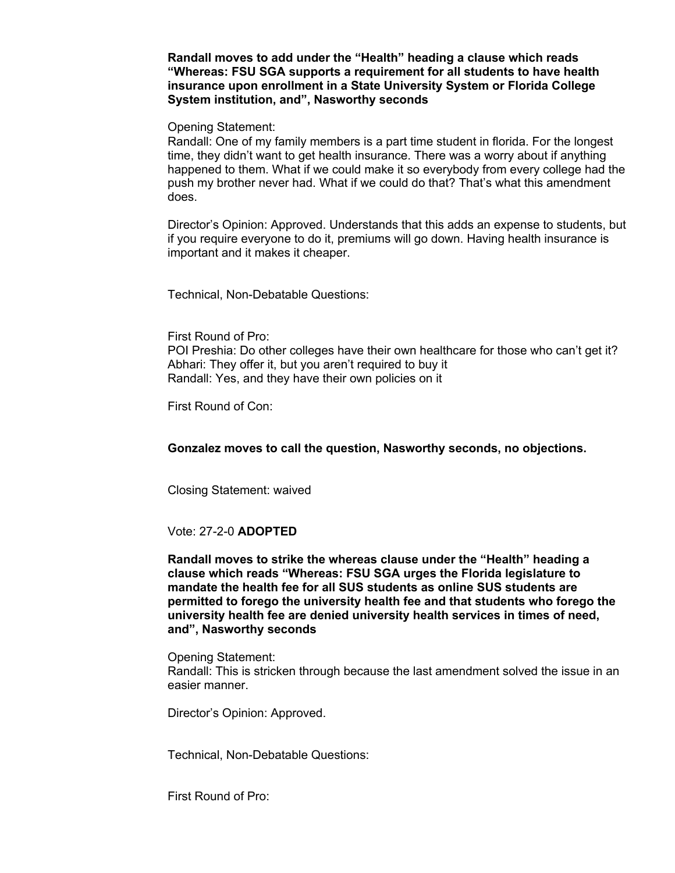**Randall moves to add under the "Health" heading a clause which reads "Whereas: FSU SGA supports a requirement for all students to have health insurance upon enrollment in a State University System or Florida College System institution, and", Nasworthy seconds**

Opening Statement:

Randall: One of my family members is a part time student in florida. For the longest time, they didn't want to get health insurance. There was a worry about if anything happened to them. What if we could make it so everybody from every college had the push my brother never had. What if we could do that? That's what this amendment does.

Director's Opinion: Approved. Understands that this adds an expense to students, but if you require everyone to do it, premiums will go down. Having health insurance is important and it makes it cheaper.

Technical, Non-Debatable Questions:

First Round of Pro:

POI Preshia: Do other colleges have their own healthcare for those who can't get it? Abhari: They offer it, but you aren't required to buy it Randall: Yes, and they have their own policies on it

First Round of Con:

**Gonzalez moves to call the question, Nasworthy seconds, no objections.**

Closing Statement: waived

#### Vote: 27-2-0 **ADOPTED**

**Randall moves to strike the whereas clause under the "Health" heading a clause which reads "Whereas: FSU SGA urges the Florida legislature to mandate the health fee for all SUS students as online SUS students are permitted to forego the university health fee and that students who forego the university health fee are denied university health services in times of need, and", Nasworthy seconds**

Opening Statement: Randall: This is stricken through because the last amendment solved the issue in an easier manner.

Director's Opinion: Approved.

Technical, Non-Debatable Questions:

First Round of Pro: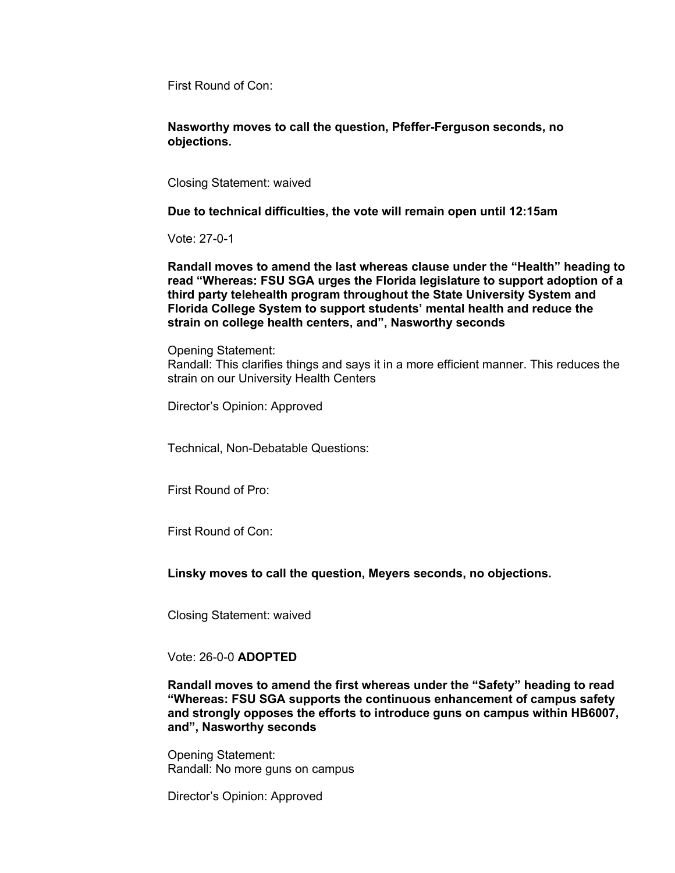First Round of Con:

**Nasworthy moves to call the question, Pfeffer-Ferguson seconds, no objections.**

Closing Statement: waived

**Due to technical difficulties, the vote will remain open until 12:15am**

Vote: 27-0-1

**Randall moves to amend the last whereas clause under the "Health" heading to read "Whereas: FSU SGA urges the Florida legislature to support adoption of a third party telehealth program throughout the State University System and Florida College System to support students' mental health and reduce the strain on college health centers, and", Nasworthy seconds**

Opening Statement: Randall: This clarifies things and says it in a more efficient manner. This reduces the strain on our University Health Centers

Director's Opinion: Approved

Technical, Non-Debatable Questions:

First Round of Pro:

First Round of Con:

**Linsky moves to call the question, Meyers seconds, no objections.**

Closing Statement: waived

Vote: 26-0-0 **ADOPTED**

**Randall moves to amend the first whereas under the "Safety" heading to read "Whereas: FSU SGA supports the continuous enhancement of campus safety and strongly opposes the efforts to introduce guns on campus within HB6007, and", Nasworthy seconds**

Opening Statement: Randall: No more guns on campus

Director's Opinion: Approved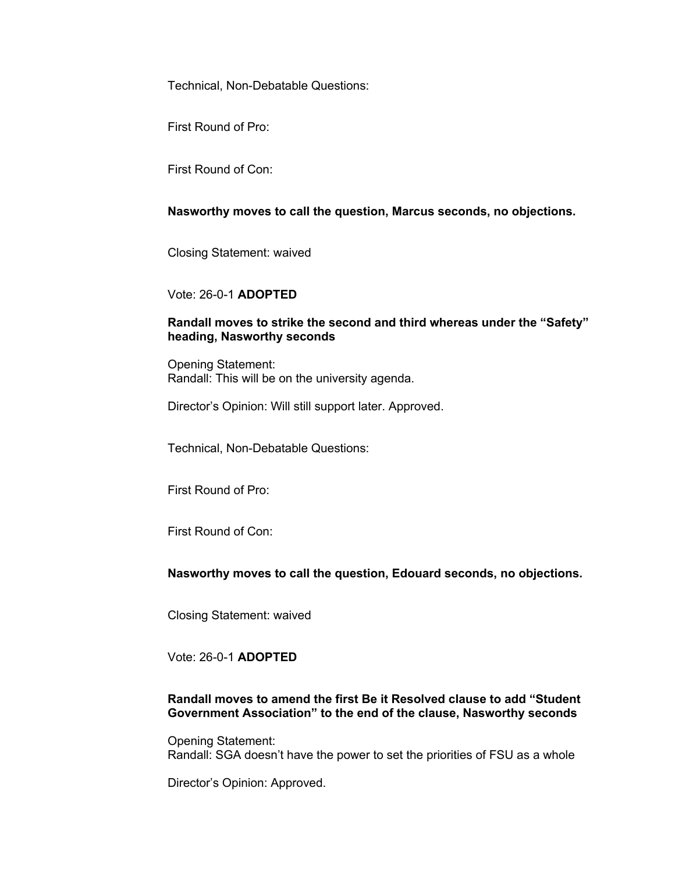First Round of Pro:

First Round of Con:

## **Nasworthy moves to call the question, Marcus seconds, no objections.**

Closing Statement: waived

## Vote: 26-0-1 **ADOPTED**

## **Randall moves to strike the second and third whereas under the "Safety" heading, Nasworthy seconds**

Opening Statement: Randall: This will be on the university agenda.

Director's Opinion: Will still support later. Approved.

Technical, Non-Debatable Questions:

First Round of Pro:

First Round of Con:

## **Nasworthy moves to call the question, Edouard seconds, no objections.**

Closing Statement: waived

Vote: 26-0-1 **ADOPTED**

## **Randall moves to amend the first Be it Resolved clause to add "Student Government Association" to the end of the clause, Nasworthy seconds**

Opening Statement: Randall: SGA doesn't have the power to set the priorities of FSU as a whole

Director's Opinion: Approved.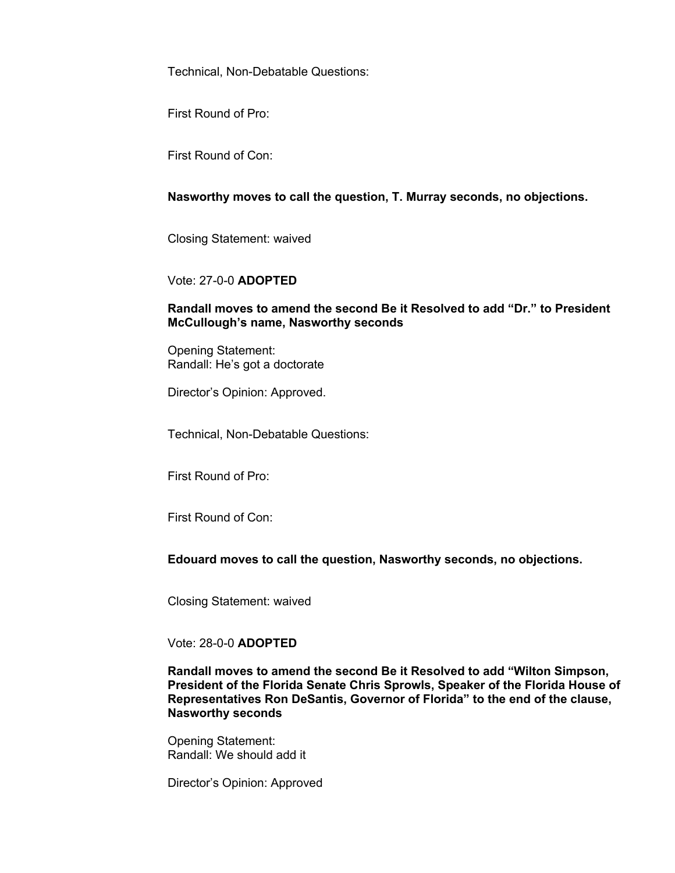First Round of Pro:

First Round of Con:

**Nasworthy moves to call the question, T. Murray seconds, no objections.**

Closing Statement: waived

Vote: 27-0-0 **ADOPTED**

## **Randall moves to amend the second Be it Resolved to add "Dr." to President McCullough's name, Nasworthy seconds**

Opening Statement: Randall: He's got a doctorate

Director's Opinion: Approved.

Technical, Non-Debatable Questions:

First Round of Pro:

First Round of Con:

## **Edouard moves to call the question, Nasworthy seconds, no objections.**

Closing Statement: waived

## Vote: 28-0-0 **ADOPTED**

**Randall moves to amend the second Be it Resolved to add "Wilton Simpson, President of the Florida Senate Chris Sprowls, Speaker of the Florida House of Representatives Ron DeSantis, Governor of Florida" to the end of the clause, Nasworthy seconds**

Opening Statement: Randall: We should add it

Director's Opinion: Approved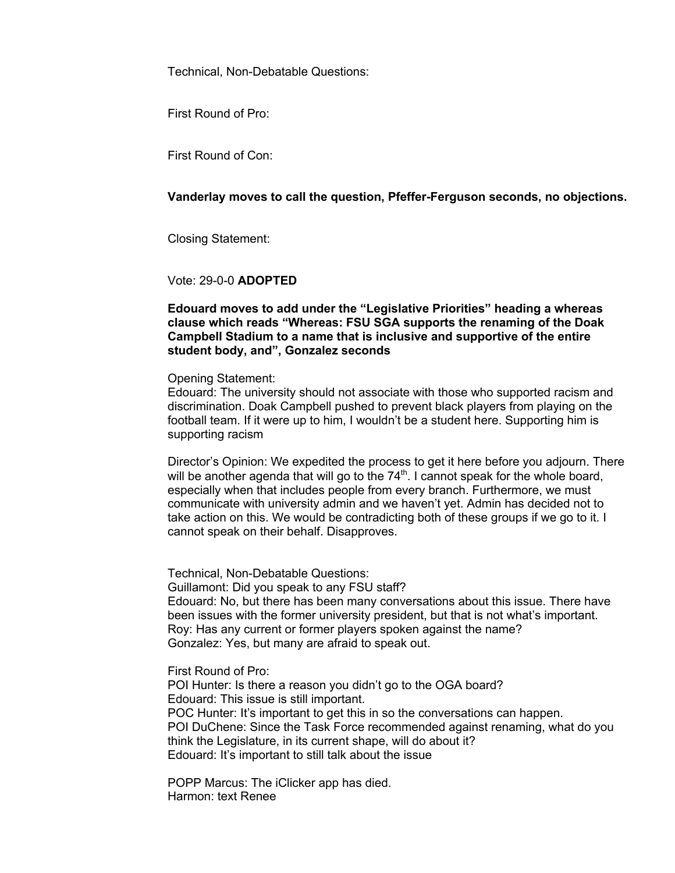First Round of Pro:

First Round of Con:

## **Vanderlay moves to call the question, Pfeffer-Ferguson seconds, no objections.**

Closing Statement:

Vote: 29-0-0 **ADOPTED**

**Edouard moves to add under the "Legislative Priorities" heading a whereas clause which reads "Whereas: FSU SGA supports the renaming of the Doak Campbell Stadium to a name that is inclusive and supportive of the entire student body, and", Gonzalez seconds**

Opening Statement:

Edouard: The university should not associate with those who supported racism and discrimination. Doak Campbell pushed to prevent black players from playing on the football team. If it were up to him, I wouldn't be a student here. Supporting him is supporting racism

Director's Opinion: We expedited the process to get it here before you adjourn. There will be another agenda that will go to the  $74<sup>th</sup>$ . I cannot speak for the whole board, especially when that includes people from every branch. Furthermore, we must communicate with university admin and we haven't yet. Admin has decided not to take action on this. We would be contradicting both of these groups if we go to it. I cannot speak on their behalf. Disapproves.

Technical, Non-Debatable Questions: Guillamont: Did you speak to any FSU staff? Edouard: No, but there has been many conversations about this issue. There have been issues with the former university president, but that is not what's important. Roy: Has any current or former players spoken against the name? Gonzalez: Yes, but many are afraid to speak out.

First Round of Pro:

POI Hunter: Is there a reason you didn't go to the OGA board? Edouard: This issue is still important. POC Hunter: It's important to get this in so the conversations can happen. POI DuChene: Since the Task Force recommended against renaming, what do you think the Legislature, in its current shape, will do about it? Edouard: It's important to still talk about the issue

POPP Marcus: The iClicker app has died. Harmon: text Renee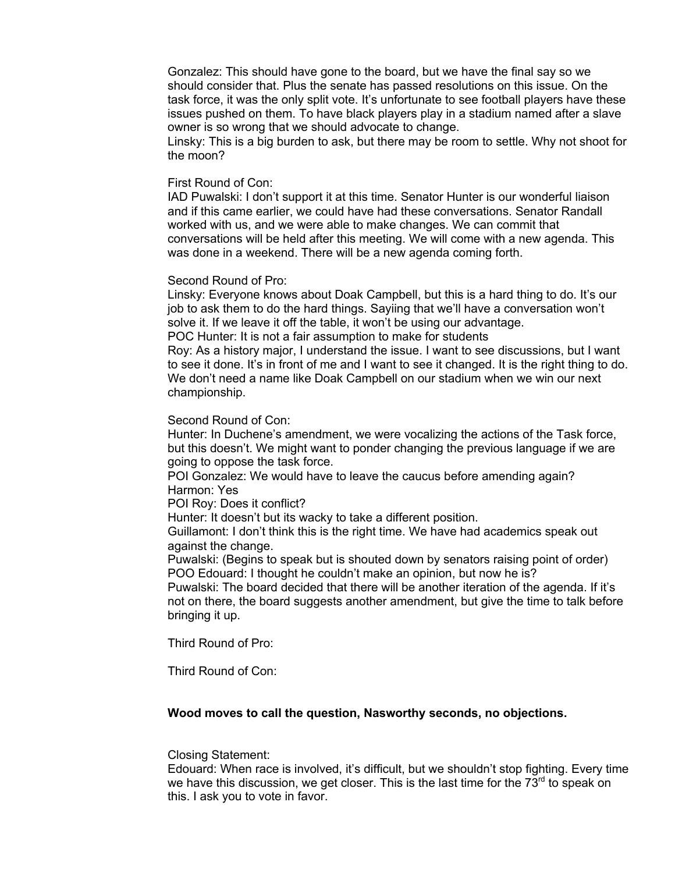Gonzalez: This should have gone to the board, but we have the final say so we should consider that. Plus the senate has passed resolutions on this issue. On the task force, it was the only split vote. It's unfortunate to see football players have these issues pushed on them. To have black players play in a stadium named after a slave owner is so wrong that we should advocate to change.

Linsky: This is a big burden to ask, but there may be room to settle. Why not shoot for the moon?

#### First Round of Con:

IAD Puwalski: I don't support it at this time. Senator Hunter is our wonderful liaison and if this came earlier, we could have had these conversations. Senator Randall worked with us, and we were able to make changes. We can commit that conversations will be held after this meeting. We will come with a new agenda. This was done in a weekend. There will be a new agenda coming forth.

### Second Round of Pro:

Linsky: Everyone knows about Doak Campbell, but this is a hard thing to do. It's our job to ask them to do the hard things. Sayiing that we'll have a conversation won't solve it. If we leave it off the table, it won't be using our advantage. POC Hunter: It is not a fair assumption to make for students

Roy: As a history major, I understand the issue. I want to see discussions, but I want to see it done. It's in front of me and I want to see it changed. It is the right thing to do. We don't need a name like Doak Campbell on our stadium when we win our next championship.

#### Second Round of Con:

Hunter: In Duchene's amendment, we were vocalizing the actions of the Task force, but this doesn't. We might want to ponder changing the previous language if we are going to oppose the task force.

POI Gonzalez: We would have to leave the caucus before amending again? Harmon: Yes

POI Roy: Does it conflict?

Hunter: It doesn't but its wacky to take a different position.

Guillamont: I don't think this is the right time. We have had academics speak out against the change.

Puwalski: (Begins to speak but is shouted down by senators raising point of order) POO Edouard: I thought he couldn't make an opinion, but now he is?

Puwalski: The board decided that there will be another iteration of the agenda. If it's not on there, the board suggests another amendment, but give the time to talk before bringing it up.

Third Round of Pro:

Third Round of Con:

### **Wood moves to call the question, Nasworthy seconds, no objections.**

### Closing Statement:

Edouard: When race is involved, it's difficult, but we shouldn't stop fighting. Every time we have this discussion, we get closer. This is the last time for the  $73<sup>rd</sup>$  to speak on this. I ask you to vote in favor.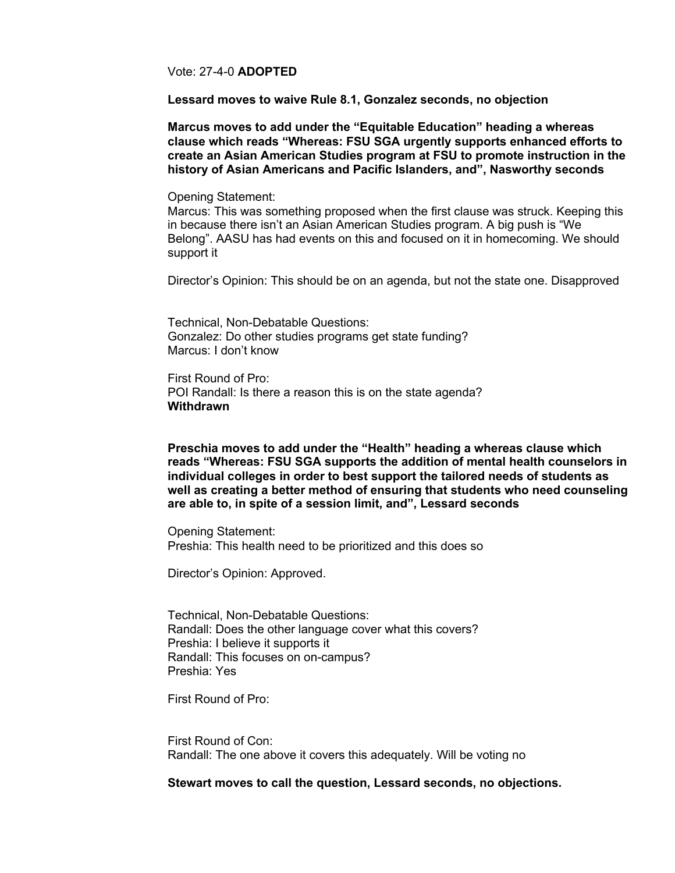Vote: 27-4-0 **ADOPTED**

**Lessard moves to waive Rule 8.1, Gonzalez seconds, no objection**

**Marcus moves to add under the "Equitable Education" heading a whereas clause which reads "Whereas: FSU SGA urgently supports enhanced efforts to create an Asian American Studies program at FSU to promote instruction in the history of Asian Americans and Pacific Islanders, and", Nasworthy seconds**

Opening Statement:

Marcus: This was something proposed when the first clause was struck. Keeping this in because there isn't an Asian American Studies program. A big push is "We Belong". AASU has had events on this and focused on it in homecoming. We should support it

Director's Opinion: This should be on an agenda, but not the state one. Disapproved

Technical, Non-Debatable Questions: Gonzalez: Do other studies programs get state funding? Marcus: I don't know

First Round of Pro: POI Randall: Is there a reason this is on the state agenda? **Withdrawn**

**Preschia moves to add under the "Health" heading a whereas clause which reads "Whereas: FSU SGA supports the addition of mental health counselors in individual colleges in order to best support the tailored needs of students as well as creating a better method of ensuring that students who need counseling are able to, in spite of a session limit, and", Lessard seconds**

Opening Statement: Preshia: This health need to be prioritized and this does so

Director's Opinion: Approved.

Technical, Non-Debatable Questions: Randall: Does the other language cover what this covers? Preshia: I believe it supports it Randall: This focuses on on-campus? Preshia: Yes

First Round of Pro:

First Round of Con: Randall: The one above it covers this adequately. Will be voting no

**Stewart moves to call the question, Lessard seconds, no objections.**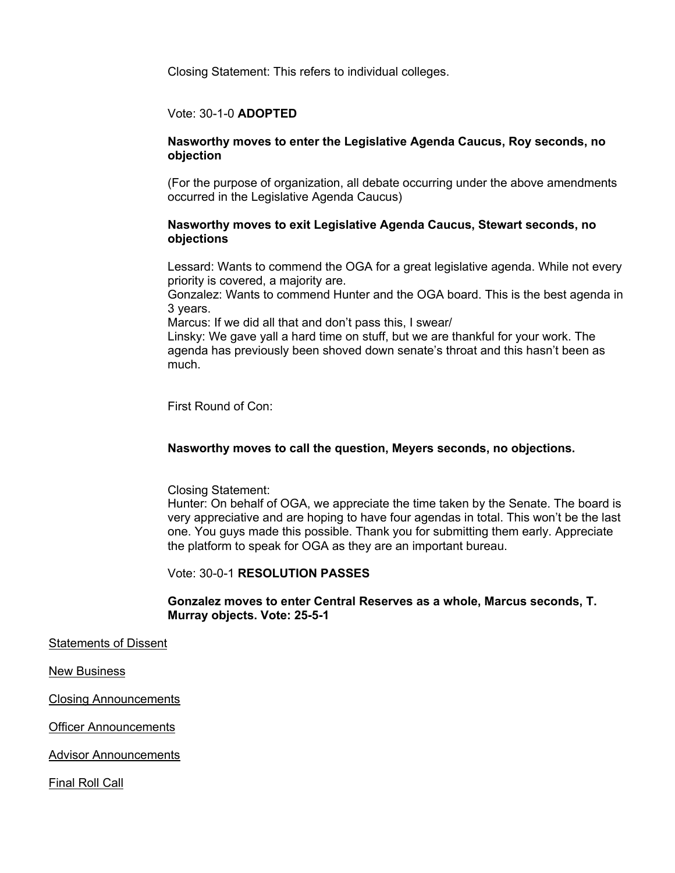Closing Statement: This refers to individual colleges.

## Vote: 30-1-0 **ADOPTED**

## **Nasworthy moves to enter the Legislative Agenda Caucus, Roy seconds, no objection**

(For the purpose of organization, all debate occurring under the above amendments occurred in the Legislative Agenda Caucus)

## **Nasworthy moves to exit Legislative Agenda Caucus, Stewart seconds, no objections**

Lessard: Wants to commend the OGA for a great legislative agenda. While not every priority is covered, a majority are.

Gonzalez: Wants to commend Hunter and the OGA board. This is the best agenda in 3 years.

Marcus: If we did all that and don't pass this, I swear/

Linsky: We gave yall a hard time on stuff, but we are thankful for your work. The agenda has previously been shoved down senate's throat and this hasn't been as much.

First Round of Con:

## **Nasworthy moves to call the question, Meyers seconds, no objections.**

Closing Statement:

Hunter: On behalf of OGA, we appreciate the time taken by the Senate. The board is very appreciative and are hoping to have four agendas in total. This won't be the last one. You guys made this possible. Thank you for submitting them early. Appreciate the platform to speak for OGA as they are an important bureau.

Vote: 30-0-1 **RESOLUTION PASSES**

## **Gonzalez moves to enter Central Reserves as a whole, Marcus seconds, T. Murray objects. Vote: 25-5-1**

Statements of Dissent

New Business

Closing Announcements

Officer Announcements

Advisor Announcements

Final Roll Call